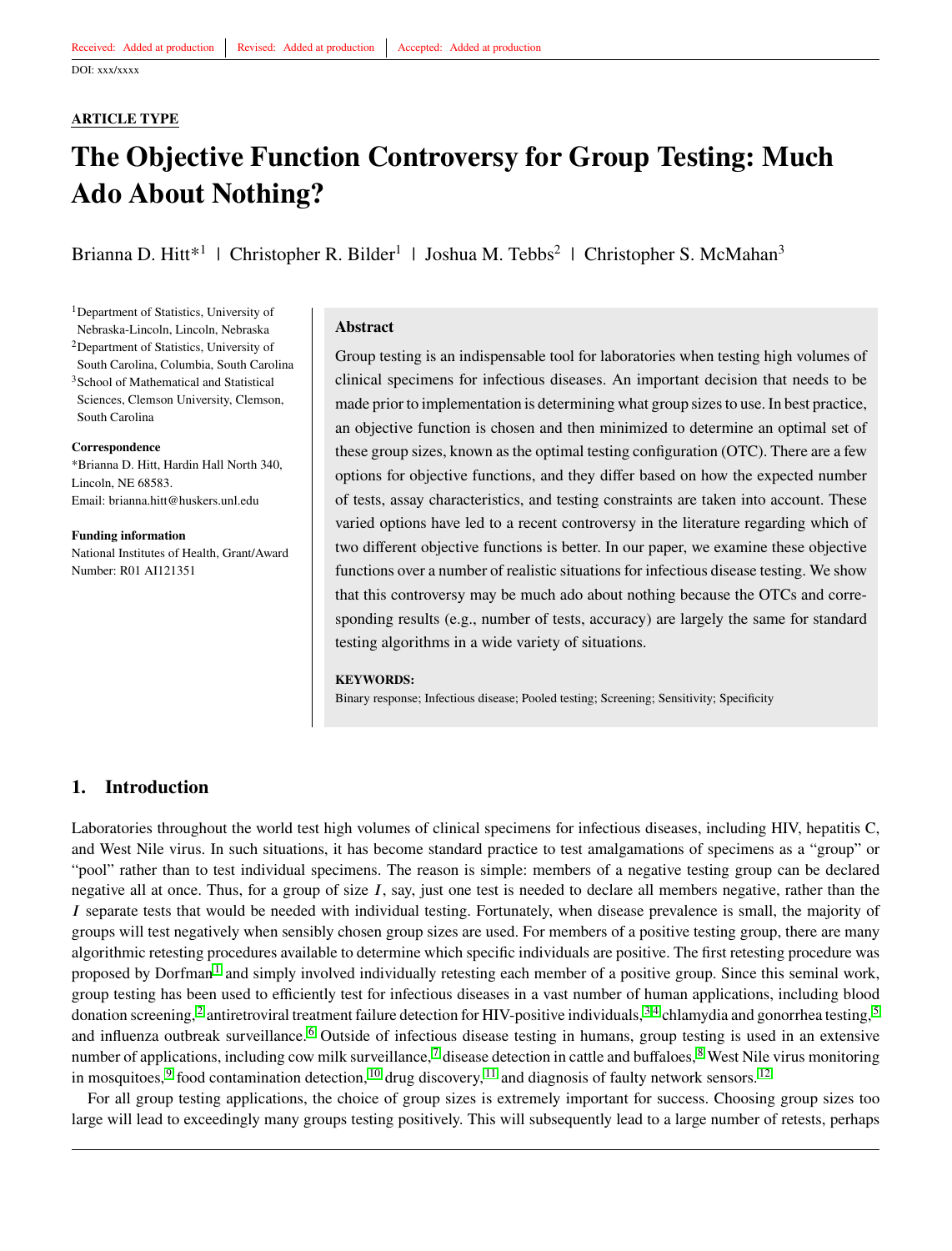#### **ARTICLE TYPE**

# **The Objective Function Controversy for Group Testing: Much Ado About Nothing?**

Brianna D. Hitt<sup>\*1</sup> | Christopher R. Bilder<sup>1</sup> | Joshua M. Tebbs<sup>2</sup> | Christopher S. McMahan<sup>3</sup>

<sup>1</sup>Department of Statistics, University of Nebraska-Lincoln, Lincoln, Nebraska <sup>2</sup>Department of Statistics, University of South Carolina, Columbia, South Carolina <sup>3</sup>School of Mathematical and Statistical Sciences, Clemson University, Clemson, South Carolina

#### **Correspondence**

\*Brianna D. Hitt, Hardin Hall North 340, Lincoln, NE 68583. Email: brianna.hitt@huskers.unl.edu

**Funding information** National Institutes of Health, Grant/Award Number: R01 AI121351

#### **Abstract**

Group testing is an indispensable tool for laboratories when testing high volumes of clinical specimens for infectious diseases. An important decision that needs to be made prior to implementation is determining what group sizes to use. In best practice, an objective function is chosen and then minimized to determine an optimal set of these group sizes, known as the optimal testing configuration (OTC). There are a few options for objective functions, and they differ based on how the expected number of tests, assay characteristics, and testing constraints are taken into account. These varied options have led to a recent controversy in the literature regarding which of two different objective functions is better. In our paper, we examine these objective functions over a number of realistic situations for infectious disease testing. We show that this controversy may be much ado about nothing because the OTCs and corresponding results (e.g., number of tests, accuracy) are largely the same for standard testing algorithms in a wide variety of situations.

#### **KEYWORDS:**

Binary response; Infectious disease; Pooled testing; Screening; Sensitivity; Specificity

# <span id="page-0-0"></span>**1. Introduction**

Laboratories throughout the world test high volumes of clinical specimens for infectious diseases, including HIV, hepatitis C, and West Nile virus. In such situations, it has become standard practice to test amalgamations of specimens as a "group" or "pool" rather than to test individual specimens. The reason is simple: members of a negative testing group can be declared negative all at once. Thus, for a group of size *I*, say, just one test is needed to declare all members negative, rather than the *I* separate tests that would be needed with individual testing. Fortunately, when disease prevalence is small, the majority of groups will test negatively when sensibly chosen group sizes are used. For members of a positive testing group, there are many algorithmic retesting procedures available to determine which specific individuals are positive. The first retesting procedure was proposed by Dorfman<sup>[1](#page-6-0)</sup> and simply involved individually retesting each member of a positive group. Since this seminal work, group testing has been used to efficiently test for infectious diseases in a vast number of human applications, including blood donation screening,<sup>[2](#page-6-1)</sup> antiretroviral treatment failure detection for HIV-positive individuals,<sup>[3,](#page-6-2)[4](#page-6-3)</sup> chlamydia and gonorrhea testing,<sup>[5](#page-6-4)</sup> and influenza outbreak surveillance. [6](#page-6-5) Outside of infectious disease testing in humans, group testing is used in an extensive number of applications, including cow milk surveillance,  $\frac{7}{1}$  $\frac{7}{1}$  $\frac{7}{1}$  disease detection in cattle and buffaloes,  $\frac{8}{1}$  $\frac{8}{1}$  $\frac{8}{1}$  West Nile virus monitoring in mosquitoes,  $9$  food contamination detection,  $10$  drug discovery,  $11$  and diagnosis of faulty network sensors.  $12$ 

For all group testing applications, the choice of group sizes is extremely important for success. Choosing group sizes too large will lead to exceedingly many groups testing positively. This will subsequently lead to a large number of retests, perhaps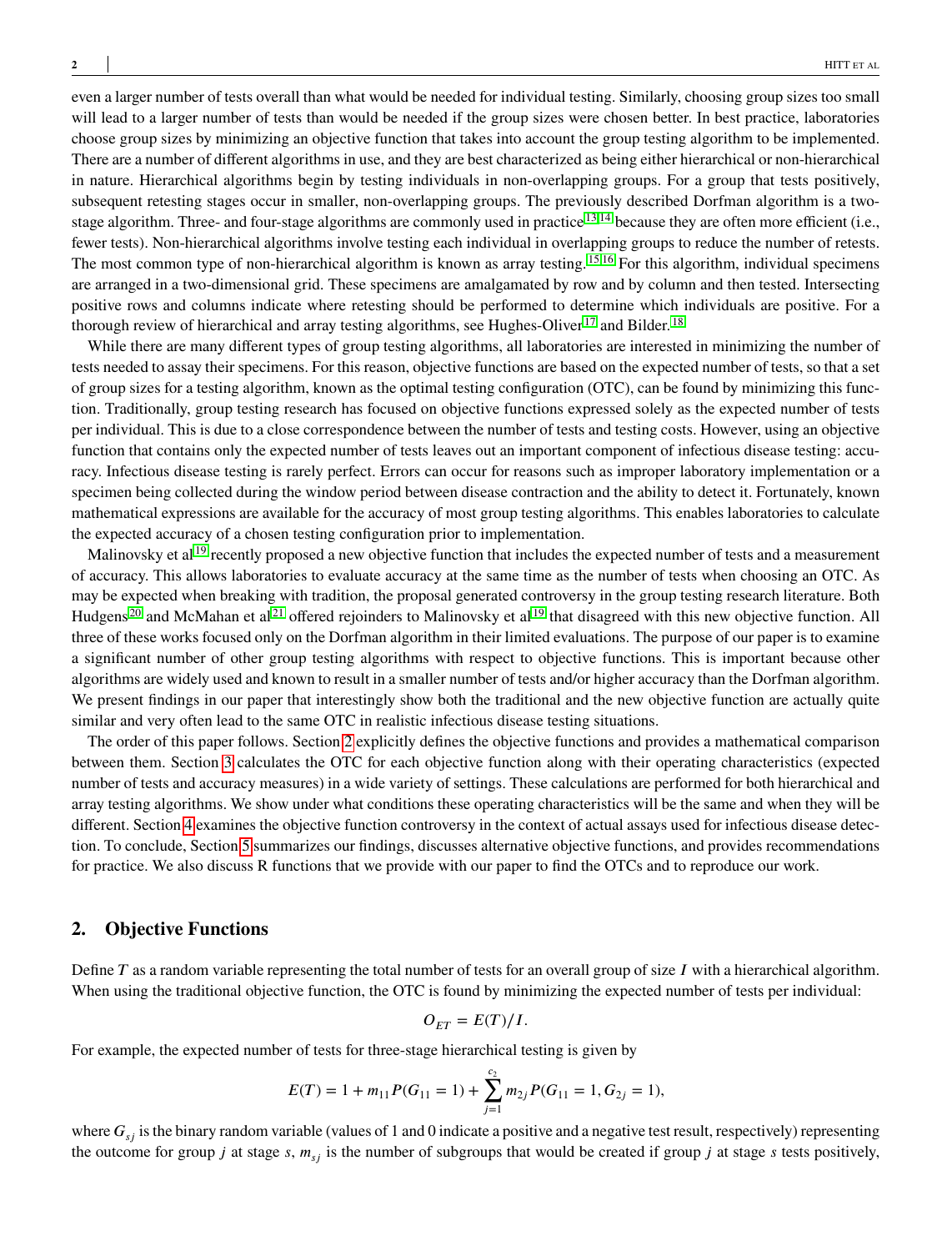even a larger number of tests overall than what would be needed for individual testing. Similarly, choosing group sizes too small will lead to a larger number of tests than would be needed if the group sizes were chosen better. In best practice, laboratories choose group sizes by minimizing an objective function that takes into account the group testing algorithm to be implemented. There are a number of different algorithms in use, and they are best characterized as being either hierarchical or non-hierarchical in nature. Hierarchical algorithms begin by testing individuals in non-overlapping groups. For a group that tests positively, subsequent retesting stages occur in smaller, non-overlapping groups. The previously described Dorfman algorithm is a two-stage algorithm. Three- and four-stage algorithms are commonly used in practice <sup>[13](#page-7-3)[,14](#page-7-4)</sup> because they are often more efficient (i.e., fewer tests). Non-hierarchical algorithms involve testing each individual in overlapping groups to reduce the number of retests. The most common type of non-hierarchical algorithm is known as array testing. <sup>[15,](#page-7-5)[16](#page-7-6)</sup> For this algorithm, individual specimens are arranged in a two-dimensional grid. These specimens are amalgamated by row and by column and then tested. Intersecting positive rows and columns indicate where retesting should be performed to determine which individuals are positive. For a thorough review of hierarchical and array testing algorithms, see Hughes-Oliver<sup>[17](#page-7-7)</sup> and Bilder.<sup>[18](#page-7-8)</sup>

While there are many different types of group testing algorithms, all laboratories are interested in minimizing the number of tests needed to assay their specimens. For this reason, objective functions are based on the expected number of tests, so that a set of group sizes for a testing algorithm, known as the optimal testing configuration (OTC), can be found by minimizing this function. Traditionally, group testing research has focused on objective functions expressed solely as the expected number of tests per individual. This is due to a close correspondence between the number of tests and testing costs. However, using an objective function that contains only the expected number of tests leaves out an important component of infectious disease testing: accuracy. Infectious disease testing is rarely perfect. Errors can occur for reasons such as improper laboratory implementation or a specimen being collected during the window period between disease contraction and the ability to detect it. Fortunately, known mathematical expressions are available for the accuracy of most group testing algorithms. This enables laboratories to calculate the expected accuracy of a chosen testing configuration prior to implementation.

Malinovsky et al  $19$  recently proposed a new objective function that includes the expected number of tests and a measurement of accuracy. This allows laboratories to evaluate accuracy at the same time as the number of tests when choosing an OTC. As may be expected when breaking with tradition, the proposal generated controversy in the group testing research literature. Both Hudgens<sup>[20](#page-7-10)</sup> and McMahan et al<sup>[21](#page-7-11)</sup> offered rejoinders to Malinovsky et al<sup>[19](#page-7-9)</sup> that disagreed with this new objective function. All three of these works focused only on the Dorfman algorithm in their limited evaluations. The purpose of our paper is to examine a significant number of other group testing algorithms with respect to objective functions. This is important because other algorithms are widely used and known to result in a smaller number of tests and/or higher accuracy than the Dorfman algorithm. We present findings in our paper that interestingly show both the traditional and the new objective function are actually quite similar and very often lead to the same OTC in realistic infectious disease testing situations.

The order of this paper follows. Section [2](#page-1-0) explicitly defines the objective functions and provides a mathematical comparison between them. Section [3](#page-3-0) calculates the OTC for each objective function along with their operating characteristics (expected number of tests and accuracy measures) in a wide variety of settings. These calculations are performed for both hierarchical and array testing algorithms. We show under what conditions these operating characteristics will be the same and when they will be different. Section [4](#page-4-0) examines the objective function controversy in the context of actual assays used for infectious disease detection. To conclude, Section [5](#page-5-0) summarizes our findings, discusses alternative objective functions, and provides recommendations for practice. We also discuss R functions that we provide with our paper to find the OTCs and to reproduce our work.

## <span id="page-1-0"></span>**2. Objective Functions**

Define *T* as a random variable representing the total number of tests for an overall group of size *I* with a hierarchical algorithm. When using the traditional objective function, the OTC is found by minimizing the expected number of tests per individual:

$$
O_{ET} = E(T)/I.
$$

For example, the expected number of tests for three-stage hierarchical testing is given by

$$
E(T) = 1 + m_{11}P(G_{11} = 1) + \sum_{j=1}^{c_2} m_{2j}P(G_{11} = 1, G_{2j} = 1),
$$

where  $G_{\rm sf}$  is the binary random variable (values of 1 and 0 indicate a positive and a negative test result, respectively) representing the outcome for group *j* at stage *s*,  $m_{si}$  is the number of subgroups that would be created if group *j* at stage *s* tests positively,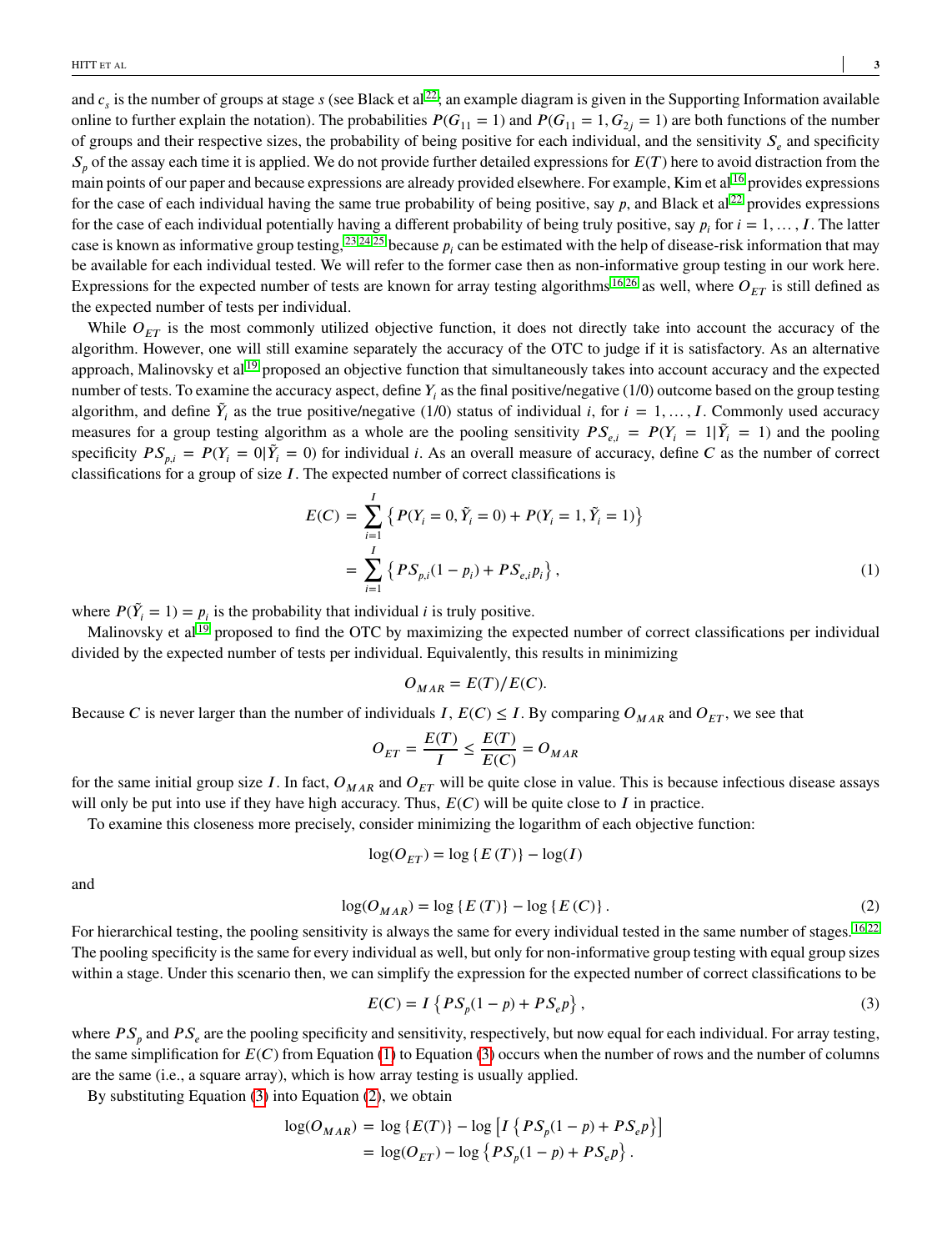and  $c_s$  is the number of groups at stage  $s$  (see Black et al  $^{22}$  $^{22}$  $^{22}$ ; an example diagram is given in the Supporting Information available online to further explain the notation). The probabilities  $P(G_{11} = 1)$  and  $P(G_{11} = 1, G_{2i} = 1)$  are both functions of the number of groups and their respective sizes, the probability of being positive for each individual, and the sensitivity *𝑆<sup>𝑒</sup>* and specificity  $S_p$  of the assay each time it is applied. We do not provide further detailed expressions for  $E(T)$  here to avoid distraction from the main points of our paper and because expressions are already provided elsewhere. For example, Kim et al <sup>[16](#page-7-6)</sup> provides expressions for the case of each individual having the same true probability of being positive, say  $p$ , and Black et al<sup>[22](#page-7-12)</sup> provides expressions for the case of each individual potentially having a different probability of being truly positive, say  $p_i$  for  $i = 1, \ldots, I$ . The latter case is known as informative group testing,  $^{23,24,25}$  $^{23,24,25}$  $^{23,24,25}$  $^{23,24,25}$  $^{23,24,25}$  because  $p_i$  can be estimated with the help of disease-risk information that may be available for each individual tested. We will refer to the former case then as non-informative group testing in our work here. Expressions for the expected number of tests are known for array testing algorithms <sup>[16](#page-7-6)[,26](#page-7-16)</sup> as well, where  $O_{FT}$  is still defined as the expected number of tests per individual.

While  $O_{ET}$  is the most commonly utilized objective function, it does not directly take into account the accuracy of the algorithm. However, one will still examine separately the accuracy of the OTC to judge if it is satisfactory. As an alternative approach, Malinovsky et al  $^{19}$  $^{19}$  $^{19}$  proposed an objective function that simultaneously takes into account accuracy and the expected number of tests. To examine the accuracy aspect, define  $Y_i$  as the final positive/negative  $(1/0)$  outcome based on the group testing algorithm, and define  $\tilde{Y}_i$  as the true positive/negative (1/0) status of individual *i*, for  $i = 1, ..., I$ . Commonly used accuracy measures for a group testing algorithm as a whole are the pooling sensitivity  $PS_{e,i} = P(Y_i = 1 | \tilde{Y}_i = 1)$  and the pooling specificity  $PS_{p,i} = P(Y_i = 0 | \tilde{Y}_i = 0)$  for individual *i*. As an overall measure of accuracy, define *C* as the number of correct classifications for a group of size *I*. The expected number of correct classifications is

$$
E(C) = \sum_{i=1}^{I} \left\{ P(Y_i = 0, \tilde{Y}_i = 0) + P(Y_i = 1, \tilde{Y}_i = 1) \right\}
$$
  
= 
$$
\sum_{i=1}^{I} \left\{ PS_{p,i} (1 - p_i) + PS_{e,i} p_i \right\},
$$
 (1)

where  $P(\tilde{Y}_i = 1) = p_i$  is the probability that individual *i* is truly positive.

Malinovsky et al<sup>[19](#page-7-9)</sup> proposed to find the OTC by maximizing the expected number of correct classifications per individual divided by the expected number of tests per individual. Equivalently, this results in minimizing

$$
O_{MAR} = E(T)/E(C).
$$

Because *C* is never larger than the number of individuals *I*,  $E(C) \leq I$ . By comparing  $O_{MAR}$  and  $O_{ET}$ , we see that

$$
O_{ET} = \frac{E(T)}{I} \le \frac{E(T)}{E(C)} = O_{MAR}
$$

for the same initial group size *I*. In fact,  $O_{MAR}$  and  $O_{ET}$  will be quite close in value. This is because infectious disease assays will only be put into use if they have high accuracy. Thus,  $E(C)$  will be quite close to *I* in practice.

To examine this closeness more precisely, consider minimizing the logarithm of each objective function:

$$
\log(O_{ET}) = \log\{E(T)\} - \log(I)
$$

<span id="page-2-1"></span>and

$$
log(O_{MAR}) = log\{E(T)\} - log\{E(C)\}.
$$
 (2)

For hierarchical testing, the pooling sensitivity is always the same for every individual tested in the same number of stages. <sup>[16](#page-7-6)[,22](#page-7-12)</sup> The pooling specificity is the same for every individual as well, but only for non-informative group testing with equal group sizes within a stage. Under this scenario then, we can simplify the expression for the expected number of correct classifications to be

<span id="page-2-0"></span>
$$
E(C) = I\left\{PS_p(1-p) + PS_e p\right\},\tag{3}
$$

where  $PS_p$  and  $PS_e$  are the pooling specificity and sensitivity, respectively, but now equal for each individual. For array testing, the same simplification for  $E(C)$  from Equation [\(1\)](#page-1-0) to Equation [\(3\)](#page-2-0) occurs when the number of rows and the number of columns are the same (i.e., a square array), which is how array testing is usually applied.

By substituting Equation [\(3\)](#page-2-0) into Equation [\(2\)](#page-2-1), we obtain

$$
log(O_{MAR}) = log {E(T)} - log [I {PS_p(1-p) + PS_e p}]
$$
  
= log(O<sub>ET</sub>) - log {PS\_p(1-p) + PS\_e p}.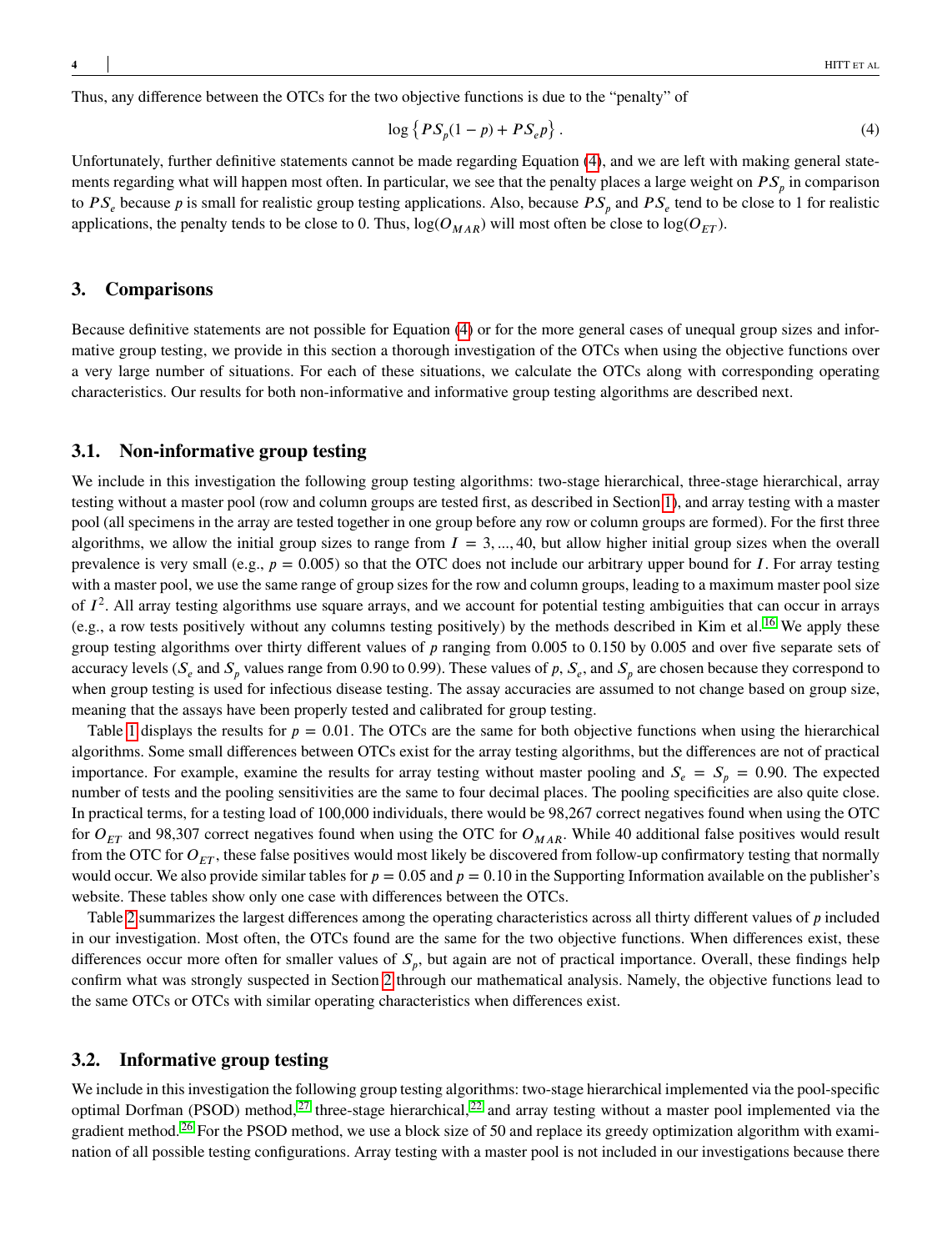Thus, any difference between the OTCs for the two objective functions is due to the "penalty" of

<span id="page-3-1"></span>
$$
\log\left\{PS_p(1-p) + PS_e p\right\}.
$$
\n(4)

Unfortunately, further definitive statements cannot be made regarding Equation [\(4\)](#page-3-1), and we are left with making general statements regarding what will happen most often. In particular, we see that the penalty places a large weight on  $PS_p$  in comparison to  $PS_e$  because *p* is small for realistic group testing applications. Also, because  $PS_p$  and  $PS_e$  tend to be close to 1 for realistic applications, the penalty tends to be close to 0. Thus,  $log(O_{MAR})$  will most often be close to  $log(O_{ET})$ .

## <span id="page-3-0"></span>**3. Comparisons**

Because definitive statements are not possible for Equation [\(4\)](#page-3-1) or for the more general cases of unequal group sizes and informative group testing, we provide in this section a thorough investigation of the OTCs when using the objective functions over a very large number of situations. For each of these situations, we calculate the OTCs along with corresponding operating characteristics. Our results for both non-informative and informative group testing algorithms are described next.

# **3.1. Non-informative group testing**

We include in this investigation the following group testing algorithms: two-stage hierarchical, three-stage hierarchical, array testing without a master pool (row and column groups are tested first, as described in Section [1\)](#page-0-0), and array testing with a master pool (all specimens in the array are tested together in one group before any row or column groups are formed). For the first three algorithms, we allow the initial group sizes to range from  $I = 3, \ldots, 40$ , but allow higher initial group sizes when the overall prevalence is very small (e.g.,  $p = 0.005$ ) so that the OTC does not include our arbitrary upper bound for *I*. For array testing with a master pool, we use the same range of group sizes for the row and column groups, leading to a maximum master pool size of  $I^2$ . All array testing algorithms use square arrays, and we account for potential testing ambiguities that can occur in arrays (e.g., a row tests positively without any columns testing positively) by the methods described in Kim et al. [16](#page-7-6) We apply these group testing algorithms over thirty different values of p ranging from 0.005 to 0.150 by 0.005 and over five separate sets of accuracy levels ( $S_e$  and  $S_p$  values range from 0.90 to 0.99). These values of p,  $S_e$ , and  $S_p$  are chosen because they correspond to when group testing is used for infectious disease testing. The assay accuracies are assumed to not change based on group size, meaning that the assays have been properly tested and calibrated for group testing.

Table [1](#page-9-0) displays the results for  $p = 0.01$ . The OTCs are the same for both objective functions when using the hierarchical algorithms. Some small differences between OTCs exist for the array testing algorithms, but the differences are not of practical importance. For example, examine the results for array testing without master pooling and  $S_e = S_p = 0.90$ . The expected number of tests and the pooling sensitivities are the same to four decimal places. The pooling specificities are also quite close. In practical terms, for a testing load of 100,000 individuals, there would be 98,267 correct negatives found when using the OTC for  $O_{ET}$  and 98,307 correct negatives found when using the OTC for  $O_{MAR}$ . While 40 additional false positives would result from the OTC for  $O_{ET}$ , these false positives would most likely be discovered from follow-up confirmatory testing that normally would occur. We also provide similar tables for  $p = 0.05$  and  $p = 0.10$  in the Supporting Information available on the publisher's website. These tables show only one case with differences between the OTCs.

Table [2](#page-10-0) summarizes the largest differences among the operating characteristics across all thirty different values of *p* included in our investigation. Most often, the OTCs found are the same for the two objective functions. When differences exist, these differences occur more often for smaller values of  $S_p$ , but again are not of practical importance. Overall, these findings help confirm what was strongly suspected in Section [2](#page-1-0) through our mathematical analysis. Namely, the objective functions lead to the same OTCs or OTCs with similar operating characteristics when differences exist.

#### <span id="page-3-2"></span>**3.2. Informative group testing**

We include in this investigation the following group testing algorithms: two-stage hierarchical implemented via the pool-specific optimal Dorfman (PSOD) method,  $27$  three-stage hierarchical,  $22$  and array testing without a master pool implemented via the gradient method.<sup>[26](#page-7-16)</sup> For the PSOD method, we use a block size of 50 and replace its greedy optimization algorithm with examination of all possible testing configurations. Array testing with a master pool is not included in our investigations because there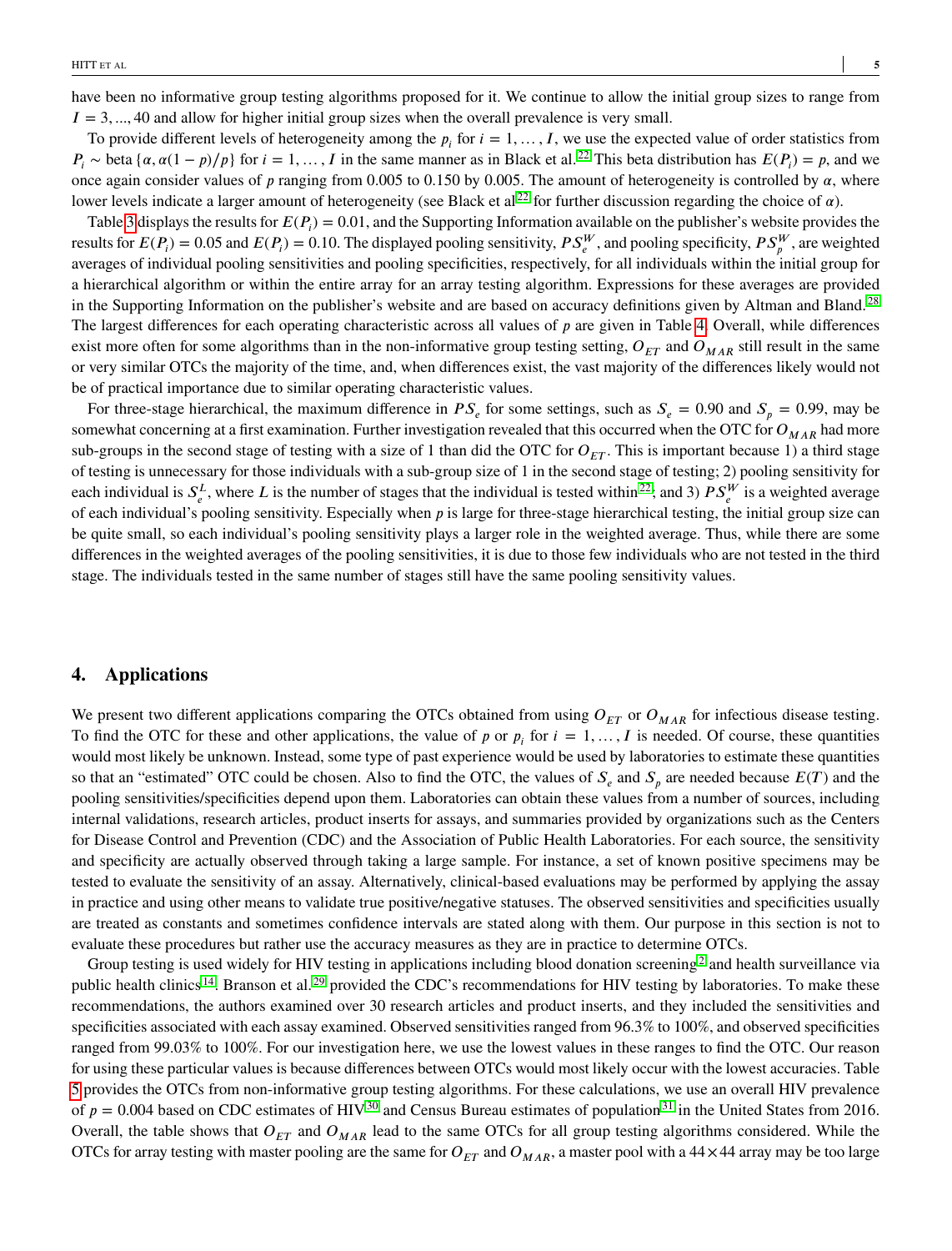have been no informative group testing algorithms proposed for it. We continue to allow the initial group sizes to range from  $I = 3, \dots, 40$  and allow for higher initial group sizes when the overall prevalence is very small.

To provide different levels of heterogeneity among the  $p_i$  for  $i = 1, ..., I$ , we use the expected value of order statistics from  $P_i \sim \text{beta} \{ \alpha, \alpha(1 - p)/p \}$  for  $i = 1, ..., I$  in the same manner as in Black et al. <sup>[22](#page-7-12)</sup> This beta distribution has  $E(P_i) = p$ , and we once again consider values of  $p$  ranging from 0.005 to 0.150 by 0.005. The amount of heterogeneity is controlled by  $\alpha$ , where lower levels indicate a larger amount of heterogeneity (see Black et al<sup>[22](#page-7-12)</sup> for further discussion regarding the choice of  $\alpha$ ).

Table [3](#page-11-0) displays the results for  $E(P_i) = 0.01$ , and the Supporting Information available on the publisher's website provides the results for  $E(P_i) = 0.05$  and  $E(P_i) = 0.10$ . The displayed pooling sensitivity,  $PS_e^W$ , and pooling specificity,  $PS_p^W$ , are weighted averages of individual pooling sensitivities and pooling specificities, respectively, for all individuals within the initial group for a hierarchical algorithm or within the entire array for an array testing algorithm. Expressions for these averages are provided in the Supporting Information on the publisher's website and are based on accuracy definitions given by Altman and Bland.<sup>[28](#page-7-18)</sup> The largest differences for each operating characteristic across all values of *p* are given in Table [4.](#page-12-0) Overall, while differences exist more often for some algorithms than in the non-informative group testing setting,  $O_{ET}$  and  $O_{MAR}$  still result in the same or very similar OTCs the majority of the time, and, when differences exist, the vast majority of the differences likely would not be of practical importance due to similar operating characteristic values.

For three-stage hierarchical, the maximum difference in  $PS_e$  for some settings, such as  $S_e = 0.90$  and  $S_p = 0.99$ , may be somewhat concerning at a first examination. Further investigation revealed that this occurred when the OTC for  $O_{MAR}$  had more sub-groups in the second stage of testing with a size of 1 than did the OTC for  $O_{ET}$ . This is important because 1) a third stage of testing is unnecessary for those individuals with a sub-group size of 1 in the second stage of testing; 2) pooling sensitivity for each individual is  $S_e^L$ , where *L* is the number of stages that the individual is tested within<sup>[22](#page-7-12)</sup>; and 3)  $PS_e^W$  is a weighted average of each individual's pooling sensitivity. Especially when *p* is large for three-stage hierarchical testing, the initial group size can be quite small, so each individual's pooling sensitivity plays a larger role in the weighted average. Thus, while there are some differences in the weighted averages of the pooling sensitivities, it is due to those few individuals who are not tested in the third stage. The individuals tested in the same number of stages still have the same pooling sensitivity values.

# <span id="page-4-0"></span>**4. Applications**

We present two different applications comparing the OTCs obtained from using  $O_{ET}$  or  $O_{MAR}$  for infectious disease testing. To find the OTC for these and other applications, the value of *p* or  $p_i$  for  $i = 1, ..., I$  is needed. Of course, these quantities would most likely be unknown. Instead, some type of past experience would be used by laboratories to estimate these quantities so that an "estimated" OTC could be chosen. Also to find the OTC, the values of  $S_e$  and  $S_p$  are needed because  $E(T)$  and the pooling sensitivities/specificities depend upon them. Laboratories can obtain these values from a number of sources, including internal validations, research articles, product inserts for assays, and summaries provided by organizations such as the Centers for Disease Control and Prevention (CDC) and the Association of Public Health Laboratories. For each source, the sensitivity and specificity are actually observed through taking a large sample. For instance, a set of known positive specimens may be tested to evaluate the sensitivity of an assay. Alternatively, clinical-based evaluations may be performed by applying the assay in practice and using other means to validate true positive/negative statuses. The observed sensitivities and specificities usually are treated as constants and sometimes confidence intervals are stated along with them. Our purpose in this section is not to evaluate these procedures but rather use the accuracy measures as they are in practice to determine OTCs.

Group testing is used widely for HIV testing in applications including blood donation screening<sup>[2](#page-6-1)</sup> and health surveillance via public health clinics  $14$ . Branson et al.  $29$  provided the CDC's recommendations for HIV testing by laboratories. To make these recommendations, the authors examined over 30 research articles and product inserts, and they included the sensitivities and specificities associated with each assay examined. Observed sensitivities ranged from 96*.*3% to 100%, and observed specificities ranged from 99*.*03% to 100%. For our investigation here, we use the lowest values in these ranges to find the OTC. Our reason for using these particular values is because differences between OTCs would most likely occur with the lowest accuracies. Table [5](#page-13-0) provides the OTCs from non-informative group testing algorithms. For these calculations, we use an overall HIV prevalence of  $p = 0.004$  based on CDC estimates of HIV<sup>[30](#page-7-20)</sup> and Census Bureau estimates of population<sup>[31](#page-8-0)</sup> in the United States from 2016. Overall, the table shows that  $O_{ET}$  and  $O_{MAR}$  lead to the same OTCs for all group testing algorithms considered. While the OTCs for array testing with master pooling are the same for  $O_{ET}$  and  $O_{MAR}$ , a master pool with a 44  $\times$  44 array may be too large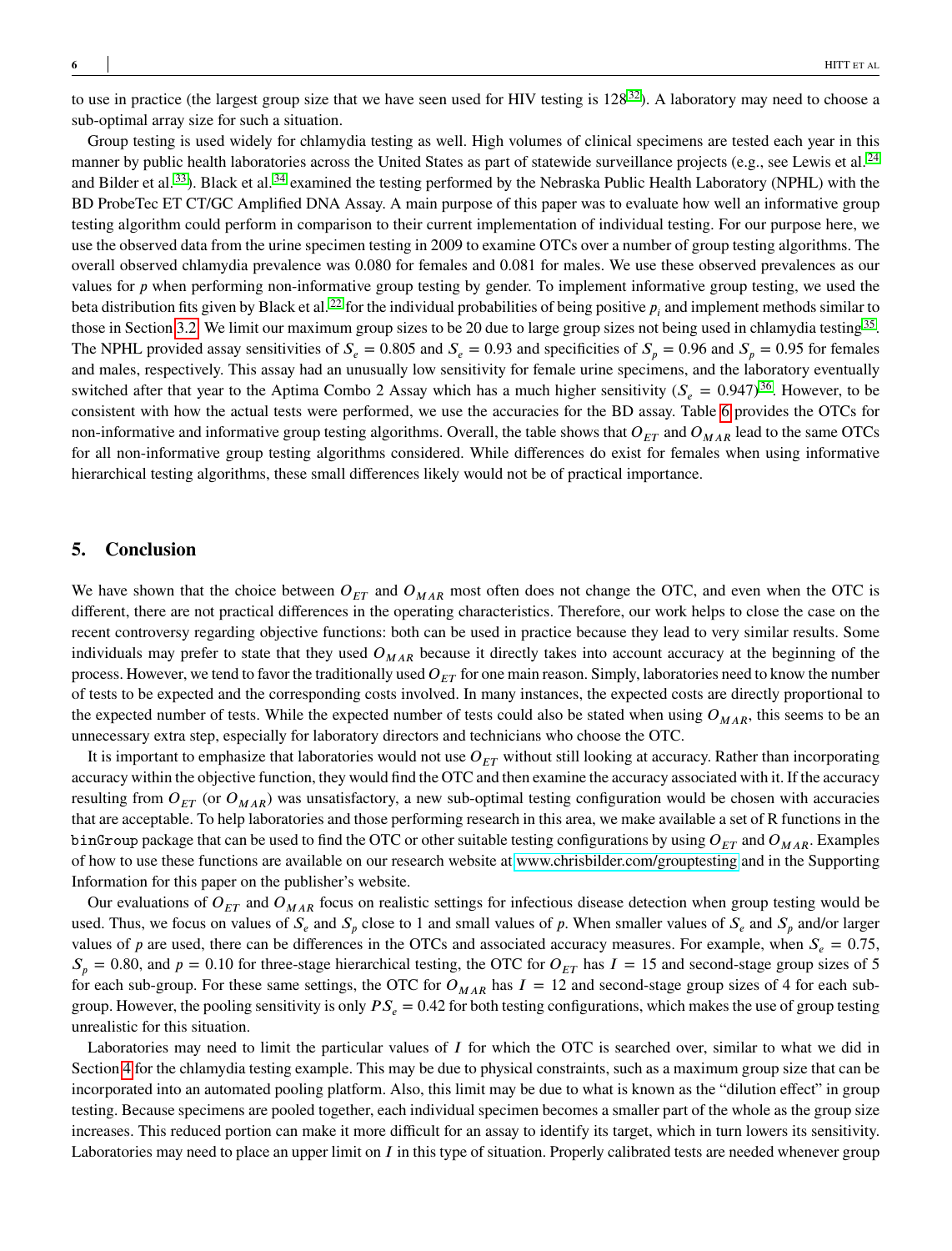to use in practice (the largest group size that we have seen used for HIV testing is  $128^{32}$  $128^{32}$  $128^{32}$ ). A laboratory may need to choose a sub-optimal array size for such a situation.

Group testing is used widely for chlamydia testing as well. High volumes of clinical specimens are tested each year in this manner by public health laboratories across the United States as part of statewide surveillance projects (e.g., see Lewis et al.  $^{24}$  $^{24}$  $^{24}$ and Bilder et al.<sup>[33](#page-8-2)</sup>). Black et al.<sup>[34](#page-8-3)</sup> examined the testing performed by the Nebraska Public Health Laboratory (NPHL) with the BD ProbeTec ET CT/GC Amplified DNA Assay. A main purpose of this paper was to evaluate how well an informative group testing algorithm could perform in comparison to their current implementation of individual testing. For our purpose here, we use the observed data from the urine specimen testing in 2009 to examine OTCs over a number of group testing algorithms. The overall observed chlamydia prevalence was 0.080 for females and 0.081 for males. We use these observed prevalences as our values for *p* when performing non-informative group testing by gender. To implement informative group testing, we used the beta distribution fits given by Black et al.<sup>[22](#page-7-12)</sup> for the individual probabilities of being positive  $p_i$  and implement methods similar to those in Section [3.2.](#page-3-2) We limit our maximum group sizes to be 20 due to large group sizes not being used in chlamydia testing <sup>[35](#page-8-4)</sup>. The NPHL provided assay sensitivities of  $S_e = 0.805$  and  $S_e = 0.93$  and specificities of  $S_n = 0.96$  and  $S_n = 0.95$  for females and males, respectively. This assay had an unusually low sensitivity for female urine specimens, and the laboratory eventually switched after that year to the Aptima Combo 2 Assay which has a much higher sensitivity  $(S_e = 0.947)^{36}$  $(S_e = 0.947)^{36}$  $(S_e = 0.947)^{36}$ . However, to be consistent with how the actual tests were performed, we use the accuracies for the BD assay. Table [6](#page-14-0) provides the OTCs for non-informative and informative group testing algorithms. Overall, the table shows that  $O_{ET}$  and  $O_{MAR}$  lead to the same OTCs for all non-informative group testing algorithms considered. While differences do exist for females when using informative hierarchical testing algorithms, these small differences likely would not be of practical importance.

# <span id="page-5-0"></span>**5. Conclusion**

We have shown that the choice between  $O_{ET}$  and  $O_{MAR}$  most often does not change the OTC, and even when the OTC is different, there are not practical differences in the operating characteristics. Therefore, our work helps to close the case on the recent controversy regarding objective functions: both can be used in practice because they lead to very similar results. Some individuals may prefer to state that they used  $O_{MAR}$  because it directly takes into account accuracy at the beginning of the process. However, we tend to favor the traditionally used  $O_{ET}$  for one main reason. Simply, laboratories need to know the number of tests to be expected and the corresponding costs involved. In many instances, the expected costs are directly proportional to the expected number of tests. While the expected number of tests could also be stated when using  $O_{MAR}$ , this seems to be an unnecessary extra step, especially for laboratory directors and technicians who choose the OTC.

It is important to emphasize that laboratories would not use  $O_{ET}$  without still looking at accuracy. Rather than incorporating accuracy within the objective function, they would find the OTC and then examine the accuracy associated with it. If the accuracy resulting from  $O_{ET}$  (or  $O_{MAR}$ ) was unsatisfactory, a new sub-optimal testing configuration would be chosen with accuracies that are acceptable. To help laboratories and those performing research in this area, we make available a set of R functions in the binGroup package that can be used to find the OTC or other suitable testing configurations by using  $O_{ET}$  and  $O_{MAR}$ . Examples of how to use these functions are available on our research website at<www.chrisbilder.com/grouptesting> and in the Supporting Information for this paper on the publisher's website.

Our evaluations of  $O_{ET}$  and  $O_{MAR}$  focus on realistic settings for infectious disease detection when group testing would be used. Thus, we focus on values of  $S_e$  and  $S_p$  close to 1 and small values of *p*. When smaller values of  $S_e$  and  $S_p$  and/or larger values of *p* are used, there can be differences in the OTCs and associated accuracy measures. For example, when  $S_e = 0.75$ ,  $S_n = 0.80$ , and  $p = 0.10$  for three-stage hierarchical testing, the OTC for  $O_{ET}$  has  $I = 15$  and second-stage group sizes of 5 for each sub-group. For these same settings, the OTC for  $O_{MAR}$  has  $I = 12$  and second-stage group sizes of 4 for each subgroup. However, the pooling sensitivity is only  $PS_e = 0.42$  for both testing configurations, which makes the use of group testing unrealistic for this situation.

Laboratories may need to limit the particular values of *I* for which the OTC is searched over, similar to what we did in Section [4](#page-4-0) for the chlamydia testing example. This may be due to physical constraints, such as a maximum group size that can be incorporated into an automated pooling platform. Also, this limit may be due to what is known as the "dilution effect" in group testing. Because specimens are pooled together, each individual specimen becomes a smaller part of the whole as the group size increases. This reduced portion can make it more difficult for an assay to identify its target, which in turn lowers its sensitivity. Laboratories may need to place an upper limit on *I* in this type of situation. Properly calibrated tests are needed whenever group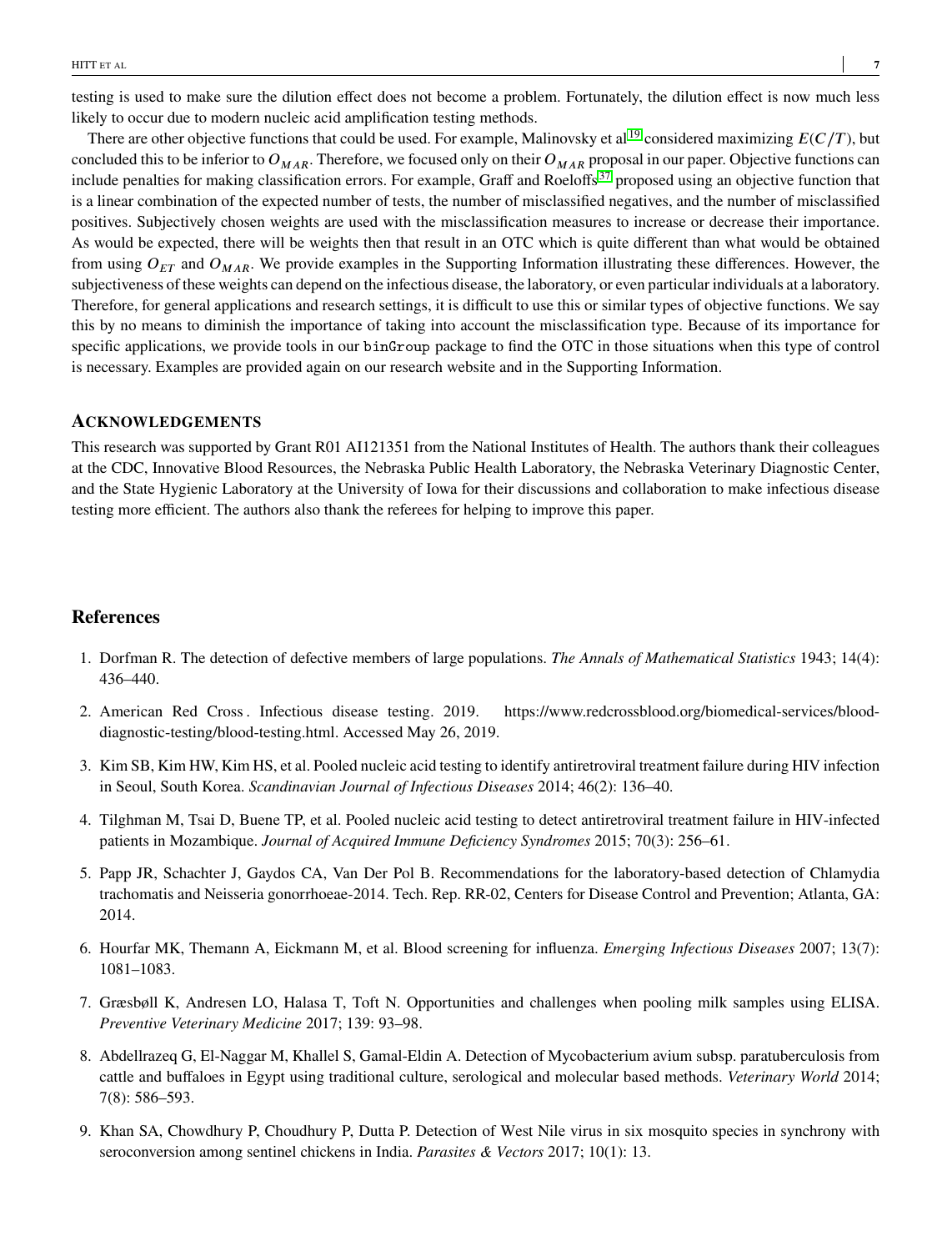testing is used to make sure the dilution effect does not become a problem. Fortunately, the dilution effect is now much less likely to occur due to modern nucleic acid amplification testing methods.

There are other objective functions that could be used. For example, Malinovsky et al <sup>[19](#page-7-9)</sup> considered maximizing  $E(C/T)$ , but concluded this to be inferior to  $O_{MAR}$ . Therefore, we focused only on their  $O_{MAR}$  proposal in our paper. Objective functions can include penalties for making classification errors. For example, Graff and Roeloffs<sup>[37](#page-8-6)</sup> proposed using an objective function that is a linear combination of the expected number of tests, the number of misclassified negatives, and the number of misclassified positives. Subjectively chosen weights are used with the misclassification measures to increase or decrease their importance. As would be expected, there will be weights then that result in an OTC which is quite different than what would be obtained from using  $O_{FT}$  and  $O_{MAR}$ . We provide examples in the Supporting Information illustrating these differences. However, the subjectiveness of these weights can depend on the infectious disease, the laboratory, or even particular individuals at a laboratory. Therefore, for general applications and research settings, it is difficult to use this or similar types of objective functions. We say this by no means to diminish the importance of taking into account the misclassification type. Because of its importance for specific applications, we provide tools in our binGroup package to find the OTC in those situations when this type of control is necessary. Examples are provided again on our research website and in the Supporting Information.

#### **ACKNOWLEDGEMENTS**

This research was supported by Grant R01 AI121351 from the National Institutes of Health. The authors thank their colleagues at the CDC, Innovative Blood Resources, the Nebraska Public Health Laboratory, the Nebraska Veterinary Diagnostic Center, and the State Hygienic Laboratory at the University of Iowa for their discussions and collaboration to make infectious disease testing more efficient. The authors also thank the referees for helping to improve this paper.

#### **References**

- <span id="page-6-0"></span>1. Dorfman R. The detection of defective members of large populations. *The Annals of Mathematical Statistics* 1943; 14(4): 436–440.
- <span id="page-6-1"></span>2. American Red Cross . Infectious disease testing. 2019. https://www.redcrossblood.org/biomedical-services/blooddiagnostic-testing/blood-testing.html. Accessed May 26, 2019.
- <span id="page-6-2"></span>3. Kim SB, Kim HW, Kim HS, et al. Pooled nucleic acid testing to identify antiretroviral treatment failure during HIV infection in Seoul, South Korea. *Scandinavian Journal of Infectious Diseases* 2014; 46(2): 136–40.
- <span id="page-6-3"></span>4. Tilghman M, Tsai D, Buene TP, et al. Pooled nucleic acid testing to detect antiretroviral treatment failure in HIV-infected patients in Mozambique. *Journal of Acquired Immune Deficiency Syndromes* 2015; 70(3): 256–61.
- <span id="page-6-4"></span>5. Papp JR, Schachter J, Gaydos CA, Van Der Pol B. Recommendations for the laboratory-based detection of Chlamydia trachomatis and Neisseria gonorrhoeae-2014. Tech. Rep. RR-02, Centers for Disease Control and Prevention; Atlanta, GA: 2014.
- <span id="page-6-5"></span>6. Hourfar MK, Themann A, Eickmann M, et al. Blood screening for influenza. *Emerging Infectious Diseases* 2007; 13(7): 1081–1083.
- <span id="page-6-6"></span>7. Græsbøll K, Andresen LO, Halasa T, Toft N. Opportunities and challenges when pooling milk samples using ELISA. *Preventive Veterinary Medicine* 2017; 139: 93–98.
- <span id="page-6-7"></span>8. Abdellrazeq G, El-Naggar M, Khallel S, Gamal-Eldin A. Detection of Mycobacterium avium subsp. paratuberculosis from cattle and buffaloes in Egypt using traditional culture, serological and molecular based methods. *Veterinary World* 2014; 7(8): 586–593.
- <span id="page-6-8"></span>9. Khan SA, Chowdhury P, Choudhury P, Dutta P. Detection of West Nile virus in six mosquito species in synchrony with seroconversion among sentinel chickens in India. *Parasites & Vectors* 2017; 10(1): 13.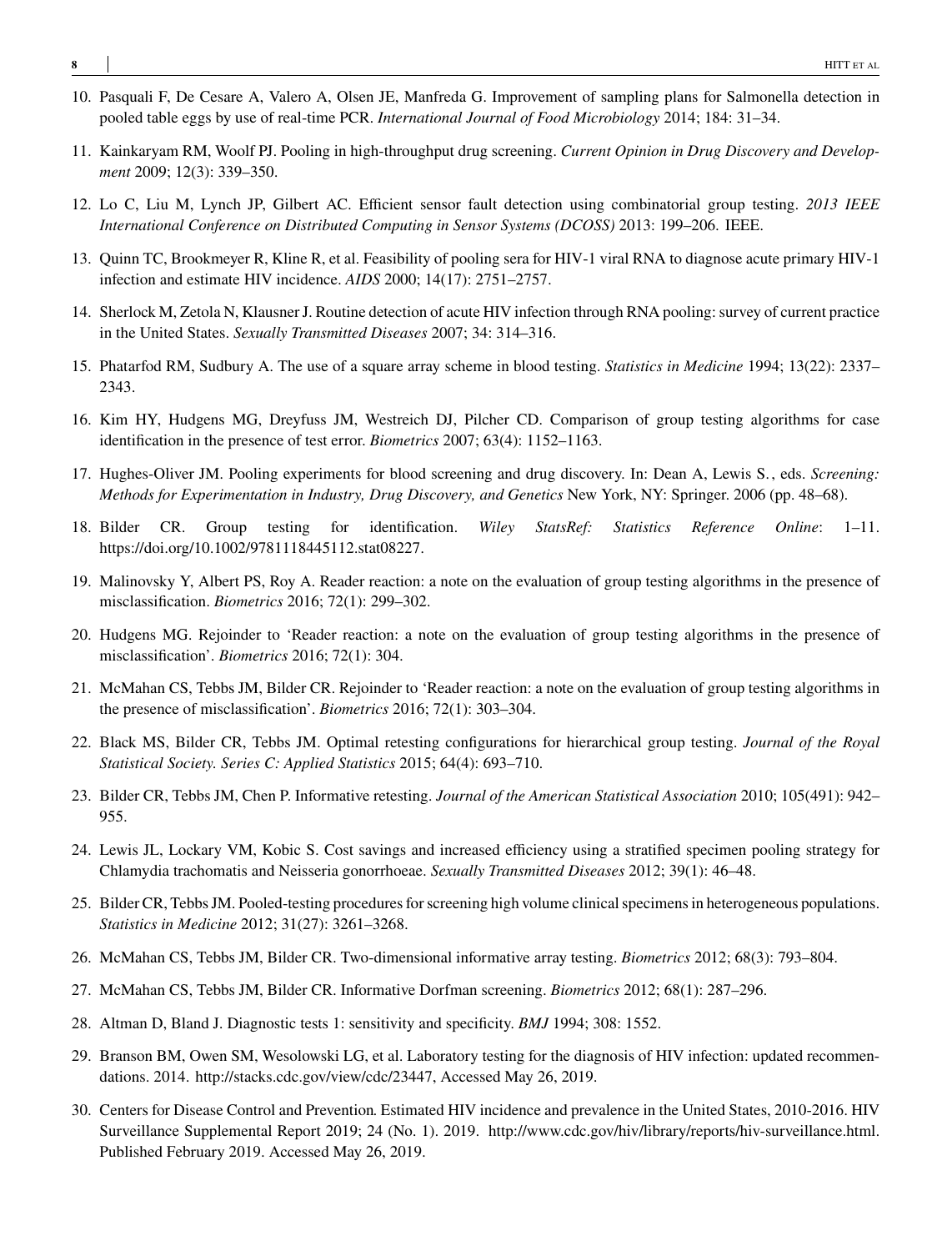- <span id="page-7-0"></span>10. Pasquali F, De Cesare A, Valero A, Olsen JE, Manfreda G. Improvement of sampling plans for Salmonella detection in pooled table eggs by use of real-time PCR. *International Journal of Food Microbiology* 2014; 184: 31–34.
- <span id="page-7-1"></span>11. Kainkaryam RM, Woolf PJ. Pooling in high-throughput drug screening. *Current Opinion in Drug Discovery and Development* 2009; 12(3): 339–350.
- <span id="page-7-2"></span>12. Lo C, Liu M, Lynch JP, Gilbert AC. Efficient sensor fault detection using combinatorial group testing. *2013 IEEE International Conference on Distributed Computing in Sensor Systems (DCOSS)* 2013: 199–206. IEEE.
- <span id="page-7-3"></span>13. Quinn TC, Brookmeyer R, Kline R, et al. Feasibility of pooling sera for HIV-1 viral RNA to diagnose acute primary HIV-1 infection and estimate HIV incidence. *AIDS* 2000; 14(17): 2751–2757.
- <span id="page-7-4"></span>14. Sherlock M, Zetola N, Klausner J. Routine detection of acute HIV infection through RNA pooling: survey of current practice in the United States. *Sexually Transmitted Diseases* 2007; 34: 314–316.
- <span id="page-7-5"></span>15. Phatarfod RM, Sudbury A. The use of a square array scheme in blood testing. *Statistics in Medicine* 1994; 13(22): 2337– 2343.
- <span id="page-7-6"></span>16. Kim HY, Hudgens MG, Dreyfuss JM, Westreich DJ, Pilcher CD. Comparison of group testing algorithms for case identification in the presence of test error. *Biometrics* 2007; 63(4): 1152–1163.
- <span id="page-7-7"></span>17. Hughes-Oliver JM. Pooling experiments for blood screening and drug discovery. In: Dean A, Lewis S., eds. *Screening: Methods for Experimentation in Industry, Drug Discovery, and Genetics* New York, NY: Springer. 2006 (pp. 48–68).
- <span id="page-7-8"></span>18. Bilder CR. Group testing for identification. *Wiley StatsRef: Statistics Reference Online*: 1–11. https://doi.org/10.1002/9781118445112.stat08227.
- <span id="page-7-9"></span>19. Malinovsky Y, Albert PS, Roy A. Reader reaction: a note on the evaluation of group testing algorithms in the presence of misclassification. *Biometrics* 2016; 72(1): 299–302.
- <span id="page-7-10"></span>20. Hudgens MG. Rejoinder to 'Reader reaction: a note on the evaluation of group testing algorithms in the presence of misclassification'. *Biometrics* 2016; 72(1): 304.
- <span id="page-7-11"></span>21. McMahan CS, Tebbs JM, Bilder CR. Rejoinder to 'Reader reaction: a note on the evaluation of group testing algorithms in the presence of misclassification'. *Biometrics* 2016; 72(1): 303–304.
- <span id="page-7-12"></span>22. Black MS, Bilder CR, Tebbs JM. Optimal retesting configurations for hierarchical group testing. *Journal of the Royal Statistical Society. Series C: Applied Statistics* 2015; 64(4): 693–710.
- <span id="page-7-13"></span>23. Bilder CR, Tebbs JM, Chen P. Informative retesting. *Journal of the American Statistical Association* 2010; 105(491): 942– 955.
- <span id="page-7-14"></span>24. Lewis JL, Lockary VM, Kobic S. Cost savings and increased efficiency using a stratified specimen pooling strategy for Chlamydia trachomatis and Neisseria gonorrhoeae. *Sexually Transmitted Diseases* 2012; 39(1): 46–48.
- <span id="page-7-15"></span>25. Bilder CR, Tebbs JM. Pooled-testing procedures for screening high volume clinical specimens in heterogeneous populations. *Statistics in Medicine* 2012; 31(27): 3261–3268.
- <span id="page-7-16"></span>26. McMahan CS, Tebbs JM, Bilder CR. Two-dimensional informative array testing. *Biometrics* 2012; 68(3): 793–804.
- <span id="page-7-17"></span>27. McMahan CS, Tebbs JM, Bilder CR. Informative Dorfman screening. *Biometrics* 2012; 68(1): 287–296.
- <span id="page-7-18"></span>28. Altman D, Bland J. Diagnostic tests 1: sensitivity and specificity. *BMJ* 1994; 308: 1552.
- <span id="page-7-19"></span>29. Branson BM, Owen SM, Wesolowski LG, et al. Laboratory testing for the diagnosis of HIV infection: updated recommendations. 2014. http://stacks.cdc.gov/view/cdc/23447, Accessed May 26, 2019.
- <span id="page-7-20"></span>30. Centers for Disease Control and Prevention. Estimated HIV incidence and prevalence in the United States, 2010-2016. HIV Surveillance Supplemental Report 2019; 24 (No. 1). 2019. http://www.cdc.gov/hiv/library/reports/hiv-surveillance.html. Published February 2019. Accessed May 26, 2019.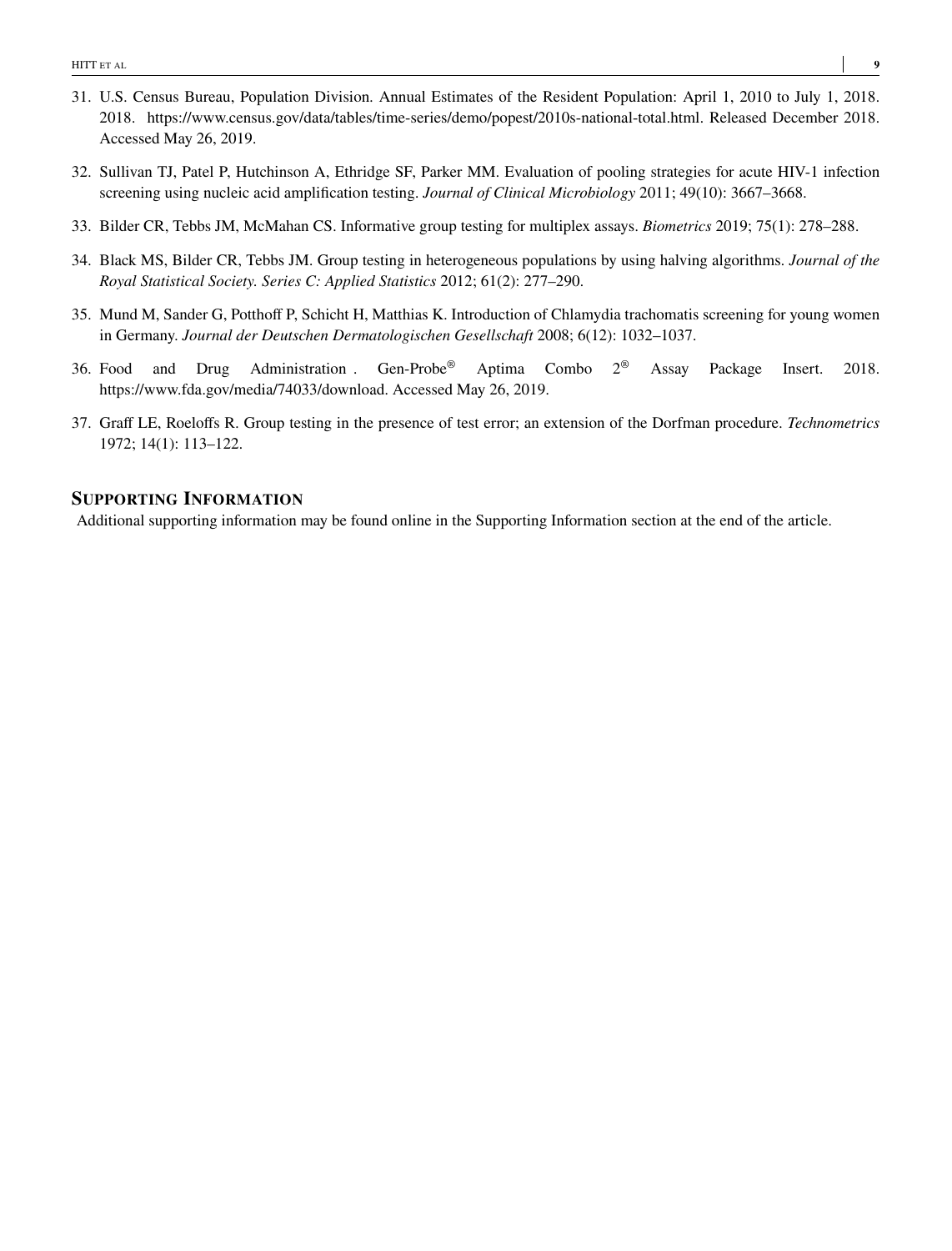- <span id="page-8-0"></span>31. U.S. Census Bureau, Population Division. Annual Estimates of the Resident Population: April 1, 2010 to July 1, 2018. 2018. https://www.census.gov/data/tables/time-series/demo/popest/2010s-national-total.html. Released December 2018. Accessed May 26, 2019.
- <span id="page-8-1"></span>32. Sullivan TJ, Patel P, Hutchinson A, Ethridge SF, Parker MM. Evaluation of pooling strategies for acute HIV-1 infection screening using nucleic acid amplification testing. *Journal of Clinical Microbiology* 2011; 49(10): 3667–3668.
- <span id="page-8-2"></span>33. Bilder CR, Tebbs JM, McMahan CS. Informative group testing for multiplex assays. *Biometrics* 2019; 75(1): 278–288.
- <span id="page-8-3"></span>34. Black MS, Bilder CR, Tebbs JM. Group testing in heterogeneous populations by using halving algorithms. *Journal of the Royal Statistical Society. Series C: Applied Statistics* 2012; 61(2): 277–290.
- <span id="page-8-4"></span>35. Mund M, Sander G, Potthoff P, Schicht H, Matthias K. Introduction of Chlamydia trachomatis screening for young women in Germany. *Journal der Deutschen Dermatologischen Gesellschaft* 2008; 6(12): 1032–1037.
- <span id="page-8-5"></span>36. Food and Drug Administration . Gen-Probe® Aptima Combo 2® Assay Package Insert. 2018. https://www.fda.gov/media/74033/download. Accessed May 26, 2019.
- <span id="page-8-6"></span>37. Graff LE, Roeloffs R. Group testing in the presence of test error; an extension of the Dorfman procedure. *Technometrics* 1972; 14(1): 113–122.

# **SUPPORTING INFORMATION**

Additional supporting information may be found online in the Supporting Information section at the end of the article.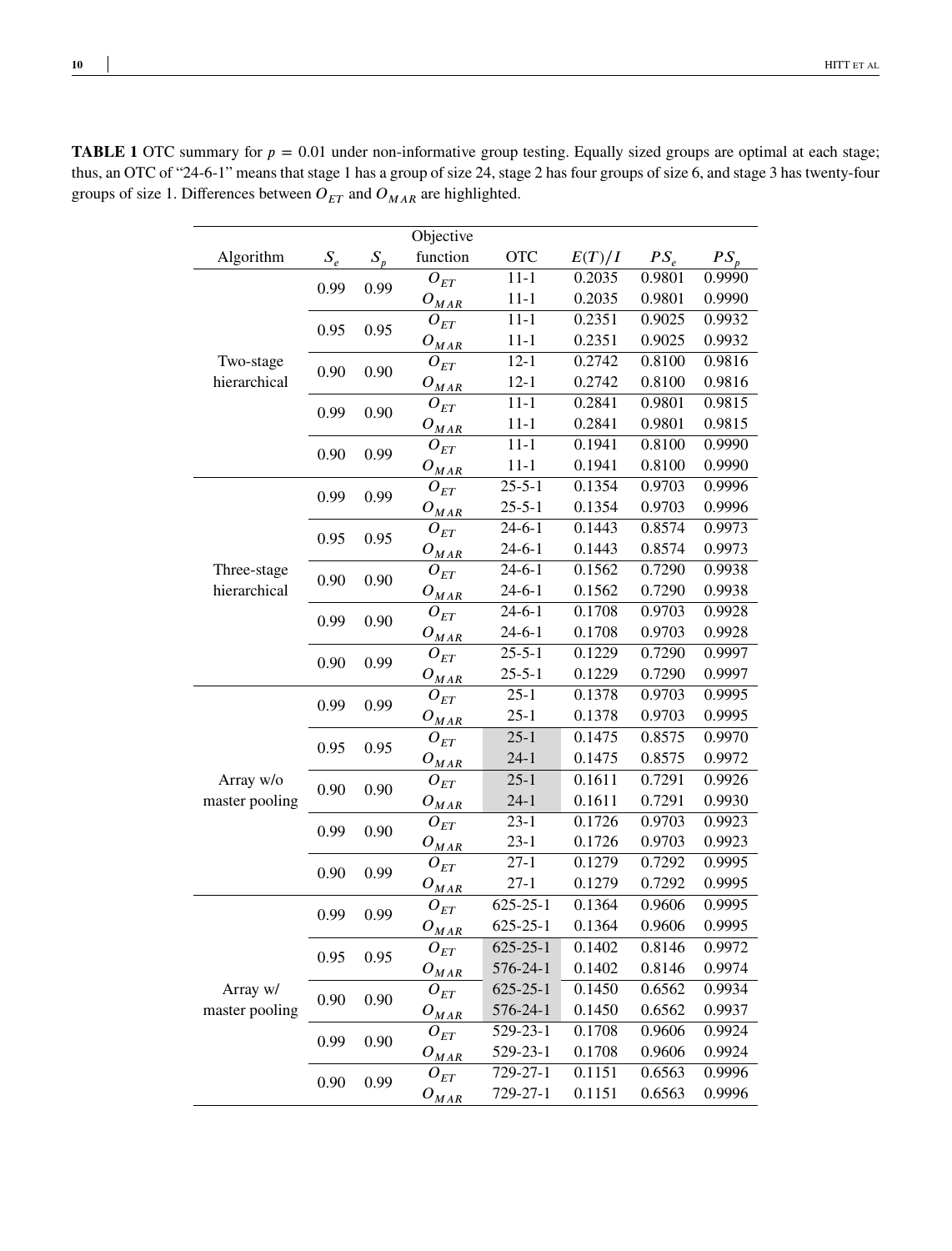|                |       |       | Objective             |                   |        |             |        |
|----------------|-------|-------|-----------------------|-------------------|--------|-------------|--------|
| Algorithm      | $S_e$ | $S_n$ | function              | <b>OTC</b>        | E(T)/I | $PS_{\rho}$ | $PS_r$ |
|                | 0.99  | 0.99  | ${\cal O}_{ET}$       | $11 - 1$          | 0.2035 | 0.9801      | 0.9990 |
|                |       |       | $O_{M\underline{AR}}$ | $11 - 1$          | 0.2035 | 0.9801      | 0.9990 |
|                | 0.95  | 0.95  | ${\cal O}_{ET}$       | $\overline{11-1}$ | 0.2351 | 0.9025      | 0.9932 |
|                |       |       | $O_{\underline{MAR}}$ | $11 - 1$          | 0.2351 | 0.9025      | 0.9932 |
| Two-stage      | 0.90  | 0.90  | $O_{ET}$              | $12 - 1$          | 0.2742 | 0.8100      | 0.9816 |
| hierarchical   |       |       | $O_{\underline{MAR}}$ | $12 - 1$          | 0.2742 | 0.8100      | 0.9816 |
|                | 0.99  | 0.90  | ${\cal O}_{ET}$       | $11 - 1$          | 0.2841 | 0.9801      | 0.9815 |
|                |       |       | $O_{M\underline{AR}}$ | $11 - 1$          | 0.2841 | 0.9801      | 0.9815 |
|                | 0.90  | 0.99  | ${\cal O}_{ET}$       | $11 - 1$          | 0.1941 | 0.8100      | 0.9990 |
|                |       |       | $O_{\text{MAR}}$      | $11 - 1$          | 0.1941 | 0.8100      | 0.9990 |
|                | 0.99  | 0.99  | ${\cal O}_{ET}$       | $25 - 5 - 1$      | 0.1354 | 0.9703      | 0.9996 |
|                |       |       | $O_{MAR}$             | $25 - 5 - 1$      | 0.1354 | 0.9703      | 0.9996 |
|                | 0.95  | 0.95  | ${\cal O}_{ET}$       | $24-6-1$          | 0.1443 | 0.8574      | 0.9973 |
|                |       |       | $O_{\underline{MAR}}$ | $24 - 6 - 1$      | 0.1443 | 0.8574      | 0.9973 |
| Three-stage    | 0.90  | 0.90  | $O_{ET}$              | $24-6-1$          | 0.1562 | 0.7290      | 0.9938 |
| hierarchical   |       |       | $O_{\underline{MAR}}$ | $24-6-1$          | 0.1562 | 0.7290      | 0.9938 |
|                | 0.99  | 0.90  | ${\cal O}_{ET}$       | $24-6-1$          | 0.1708 | 0.9703      | 0.9928 |
|                |       |       | $O_{\underline{MAR}}$ | $24-6-1$          | 0.1708 | 0.9703      | 0.9928 |
|                | 0.90  | 0.99  | ${\cal O}_{ET}$       | $25 - 5 - 1$      | 0.1229 | 0.7290      | 0.9997 |
|                |       |       | $O_{\text{MAR}}$      | $25 - 5 - 1$      | 0.1229 | 0.7290      | 0.9997 |
|                | 0.99  | 0.99  | $O_{ET}$              | $25 - 1$          | 0.1378 | 0.9703      | 0.9995 |
|                |       |       | $O_{M\underline{AR}}$ | $25 - 1$          | 0.1378 | 0.9703      | 0.9995 |
|                | 0.95  | 0.95  | $O_{ET}$              | $25 - 1$          | 0.1475 | 0.8575      | 0.9970 |
|                |       |       | $O_{M\underline{AR}}$ | $24 - 1$          | 0.1475 | 0.8575      | 0.9972 |
| Array w/o      | 0.90  | 0.90  | ${\cal O}_{ET}$       | $25 - 1$          | 0.1611 | 0.7291      | 0.9926 |
| master pooling |       |       | $O_{\underline{MAR}}$ | $24 - 1$          | 0.1611 | 0.7291      | 0.9930 |
|                | 0.99  | 0.90  | $O_{ET}$              | $\overline{23-1}$ | 0.1726 | 0.9703      | 0.9923 |
|                |       |       | $O_{\underline{MAR}}$ | $23 - 1$          | 0.1726 | 0.9703      | 0.9923 |
|                | 0.90  | 0.99  | ${\cal O}_{ET}$       | $27 - 1$          | 0.1279 | 0.7292      | 0.9995 |
|                |       |       | $O_{\underline{MAR}}$ | $27 - 1$          | 0.1279 | 0.7292      | 0.9995 |
|                | 0.99  | 0.99  | $O_{ET}$              | $625 - 25 - 1$    | 0.1364 | 0.9606      | 0.9995 |
|                |       |       | $O_{\underline{MAR}}$ | $625 - 25 - 1$    | 0.1364 | 0.9606      | 0.9995 |
|                |       | 0.95  | ${\cal O}_{ET}$       | $625 - 25 - 1$    | 0.1402 | 0.8146      | 0.9972 |
|                | 0.95  |       | $O_{M\underline{AR}}$ | 576-24-1          | 0.1402 | 0.8146      | 0.9974 |
| Array w/       |       |       | ${\cal O}_{ET}$       | $625 - 25 - 1$    | 0.1450 | 0.6562      | 0.9934 |
| master pooling | 0.90  | 0.90  | $O_{\underline{MAR}}$ | 576-24-1          | 0.1450 | 0.6562      | 0.9937 |
|                |       |       | ${\cal O}_{ET}$       | 529-23-1          | 0.1708 | 0.9606      | 0.9924 |
|                | 0.99  | 0.90  | $O_{MAR}$             | 529-23-1          | 0.1708 | 0.9606      | 0.9924 |
|                |       |       | $O_{ET}$              | 729-27-1          | 0.1151 | 0.6563      | 0.9996 |
|                | 0.90  | 0.99  | $O_{\underline{MAR}}$ | 729-27-1          | 0.1151 | 0.6563      | 0.9996 |
|                |       |       |                       |                   |        |             |        |

<span id="page-9-0"></span>**TABLE 1** OTC summary for  $p = 0.01$  under non-informative group testing. Equally sized groups are optimal at each stage; thus, an OTC of "24-6-1" means that stage 1 has a group of size 24, stage 2 has four groups of size 6, and stage 3 has twenty-four groups of size 1. Differences between  $O_{ET}$  and  $O_{MAR}$  are highlighted.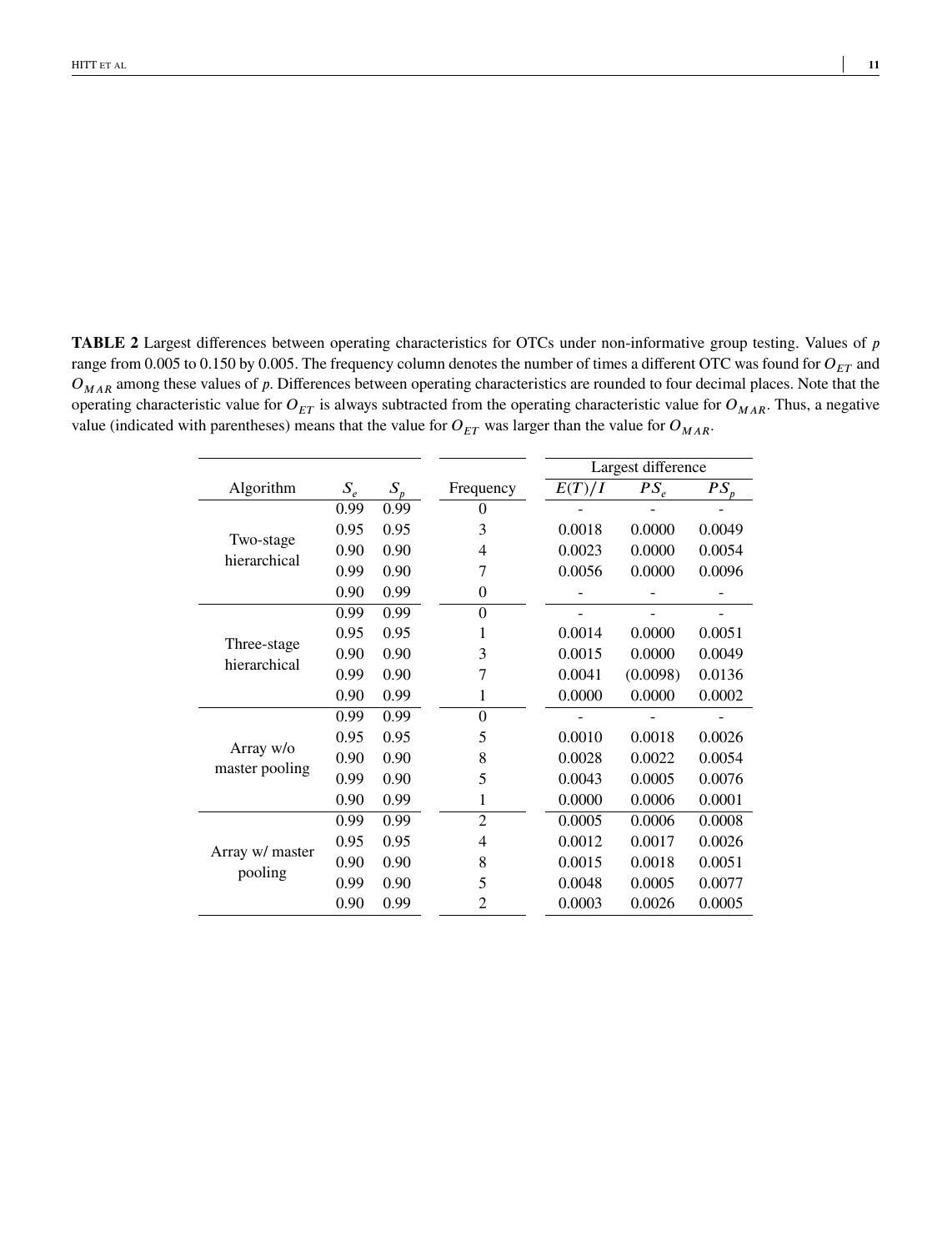<span id="page-10-0"></span>**TABLE 2** Largest differences between operating characteristics for OTCs under non-informative group testing. Values of *p* range from 0.005 to 0.150 by 0.005. The frequency column denotes the number of times a different OTC was found for  $O_{ET}$  and  $O_{MAR}$  among these values of *p*. Differences between operating characteristics are rounded to four decimal places. Note that the operating characteristic value for  $O_{ET}$  is always subtracted from the operating characteristic value for  $O_{MAR}$ . Thus, a negative value (indicated with parentheses) means that the value for  $O_{ET}$  was larger than the value for  $O_{MAR}$ .

|                             |       |       |                |        | Largest difference |          |
|-----------------------------|-------|-------|----------------|--------|--------------------|----------|
| Algorithm                   | $S_e$ | $S_p$ | Frequency      | E(T)/I | $PS_{\rho}$        | $PS_{n}$ |
|                             | 0.99  | 0.99  | 0              |        |                    |          |
|                             | 0.95  | 0.95  | 3              | 0.0018 | 0.0000             | 0.0049   |
| Two-stage<br>hierarchical   | 0.90  | 0.90  | 4              | 0.0023 | 0.0000             | 0.0054   |
|                             | 0.99  | 0.90  | 7              | 0.0056 | 0.0000             | 0.0096   |
|                             | 0.90  | 0.99  | $\theta$       |        |                    |          |
|                             | 0.99  | 0.99  | $\overline{0}$ |        |                    |          |
|                             | 0.95  | 0.95  | 1              | 0.0014 | 0.0000             | 0.0051   |
| Three-stage<br>hierarchical | 0.90  | 0.90  | 3              | 0.0015 | 0.0000             | 0.0049   |
|                             | 0.99  | 0.90  | 7              | 0.0041 | (0.0098)           | 0.0136   |
|                             | 0.90  | 0.99  | 1              | 0.0000 | 0.0000             | 0.0002   |
|                             | 0.99  | 0.99  | $\overline{0}$ |        |                    |          |
|                             | 0.95  | 0.95  | 5              | 0.0010 | 0.0018             | 0.0026   |
| Array w/o                   | 0.90  | 0.90  | 8              | 0.0028 | 0.0022             | 0.0054   |
| master pooling              | 0.99  | 0.90  | 5              | 0.0043 | 0.0005             | 0.0076   |
|                             | 0.90  | 0.99  | 1              | 0.0000 | 0.0006             | 0.0001   |
|                             | 0.99  | 0.99  | $\overline{2}$ | 0.0005 | 0.0006             | 0.0008   |
|                             | 0.95  | 0.95  | 4              | 0.0012 | 0.0017             | 0.0026   |
| Array w/ master             | 0.90  | 0.90  | 8              | 0.0015 | 0.0018             | 0.0051   |
| pooling                     | 0.99  | 0.90  | 5              | 0.0048 | 0.0005             | 0.0077   |
|                             | 0.90  | 0.99  | 2              | 0.0003 | 0.0026             | 0.0005   |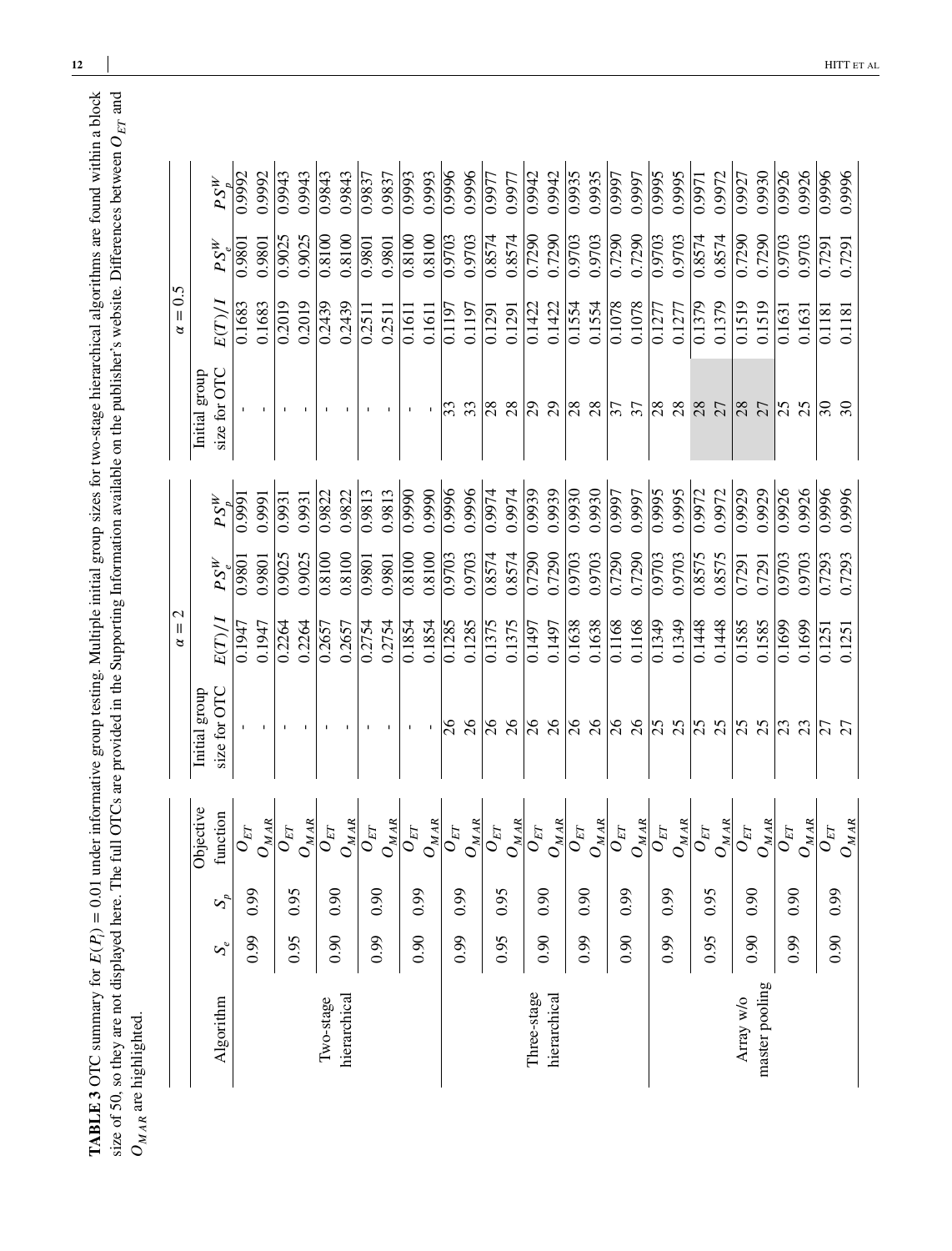<span id="page-11-0"></span>**TABLE 3** OTC summary for  $E(P_i) = 0.01$  under informative group testing. Multiple initial group sizes for two-stage hierarchical algorithms are found within a block size of 50, so they are not displayed here. The full OTCs are provided in the Supporting Information available on the publisher's website. Differences between  $O_{ET}$  and  $O_{MA}$  are highlighted.  $E(P_i) = 0.01$  under informative group testing. Multiple initial group sizes for two-stage hierarchical algorithms are found within a block size of 50, so they are not displayed here. The full OTCs are provided in the Supporting Information available on the publisher's website. Differences between **TABLE 3** OTC summary for  $O_{M \, A R}$  are highlighted.

|                |       |       |                                |               | $\mathcal{C}$<br>$\alpha =$ |          |              |                             | $\alpha = 0.5$ |          |              |
|----------------|-------|-------|--------------------------------|---------------|-----------------------------|----------|--------------|-----------------------------|----------------|----------|--------------|
|                |       |       | Objective                      | Initial group |                             |          |              | Initial group               |                |          |              |
| Algorithm      | $S_e$ | $S_p$ | function                       | size for OTC  | E(T)/I                      | $PS^W_s$ | $PS^W_\star$ | size for OTC                | E(T)/I         | $PS_e^W$ | $PS^W_\star$ |
|                | 0.99  | 6.0   | $\overset{\_}{O}_{ET}$         |               | 0.1947                      | 0.9801   | 0.999        |                             | 0.1683         | 0.9801   | 0.9992       |
|                |       |       | $O_{MAR}$                      | J.            | 0.1947                      | 0.9801   | 0.9991       |                             | 0.1683         | 0.9801   | 0.9992       |
|                | 0.95  | 0.95  | $O_{ET}$                       |               | 0.2264                      | 0.9025   | 0.9931       |                             | 0.2019         | 0.9025   | 0.9943       |
|                |       |       | $O_{\underline{MAR}}$          |               | 0.2264                      | 0.9025   | 0.9931       |                             | 0.2019         | 0.9025   | 0.9943       |
| Two-stage      | 0.90  | 0.90  | $\overline{\mathcal{O}}_{ET}$  |               | 0.2657                      | 0.8100   | 0.9822       |                             | 0.2439         | 0.8100   | 0.9843       |
| hierarchical   |       |       | $O_{\underline{MAR}}$          |               | 0.2657                      | 0.8100   | 0.9822       |                             | 0.2439         | 0.8100   | 0.9843       |
|                | 6.0   | 0.90  | $\sigma_{\!F\!T}$              |               | 0.2754                      | 0.9801   | 0.9813       |                             | 0.2511         | 0.9801   | 0.9837       |
|                |       |       | $O_{\underline{MAR}}$          |               | 0.2754                      | 0.9801   | 0.9813       |                             | 0.2511         | 0.9801   | 0.9837       |
|                | 0.90  | 6.0   | $\overline{o}_{ET}$            | $\mathbf I$   | 0.1854                      | 0.8100   | 0.9990       |                             | 0.1611         | 0.8100   | 0.9993       |
|                |       |       | $O_{\underline{MAR}}$          |               | 0.1854                      | 0.8100   | 0.9990       |                             | 0.1611         | 0.8100   | 0.9993       |
|                | 0.99  | 6.0   | $\overset{\_}{O}_{ET}$         | $\delta$      | 0.1285                      | 0.9703   | 0.996        | 33                          | 0.1197         | 0.9703   | 0.9996       |
|                |       |       | $O_{\underline{MAR}}$          | $\delta$      | 0.1285                      | 0.9703   | 0.9996       | 33                          | 0.1197         | 0.9703   | 0.9996       |
|                | 0.95  |       | $\overline{\overline{O}}_{ET}$ | $\delta$      | 0.1375                      | 0.8574   | 0.9974       | 28                          | 0.1291         | 0.8574   | 0.9977       |
|                |       | 0.95  | $O_{\underline{MAR}}$          | $\delta$      | 0.1375                      | 0.8574   | 0.9974       | 28                          | 0.1291         | 0.8574   | 0.9977       |
| Three-stage    | 0.90  | 0.90  | $o_{\scriptscriptstyle ET}$    | $\delta$      | 0.1497                      | 0.7290   | 0.9939       | $\mathcal{L}^{\mathcal{O}}$ | 0.1422         | 0.7290   | 0.9942       |
| hierarchical   |       |       | $O_{\underline{MAR}}$          | $\delta$      | 0.1497                      | 0.7290   | 0.9939       | $\mathfrak{S}$              | 0.1422         | 0.7290   | 0.9942       |
|                | 0.99  | 0.90  | $O_{ET}$                       | $\delta$      | 0.1638                      | 0.9703   | 0.9930       | 28                          | 0.1554         | 0.9703   | 0.9935       |
|                |       |       | $O_{\underline{MAR}}$          | 26            | 0.1638                      | 0.9703   | 0.9930       | 28                          | 0.1554         | 0.9703   | 0.9935       |
|                | 0.90  | 0.99  | $\overline{O}_{ET}$            | $\delta$      | 0.1168                      | 0.7290   | 0.9997       | 37                          | 0.1078         | 0.7290   | 0.9997       |
|                |       |       | $O_{\underline{MAR}}$          | $\delta$      | 0.1168                      | 0.7290   | 0.9997       | 37                          | 0.1078         | 0.7290   | 0.9997       |
|                | 0.99  | 0.99  | $\sigma_{ET}$                  | 25            | 0.1349                      | 0.9703   | 0.9995       | 28                          | 0.1277         | 0.9703   | 0.9995       |
|                |       |       | $O_{\underline{MAR}}$          | 25            | 0.1349                      | 0.9703   | 0.9995       | 28                          | 0.1277         | 0.9703   | 0.9995       |
|                | 0.95  | 0.95  | $\overline{O}_{ET}$            | 25            | 0.1448                      | 0.8575   | 0.9972       | 28                          | 0.1379         | 0.8574   | 0.9971       |
|                |       |       | $O_{\underline{MAR}}$          | 25            | 0.1448                      | 0.8575   | 0.9972       | 27                          | 0.1379         | 0.8574   | 0.9972       |
| Array w/o      | 0.90  | 0.90  | $O_{ET}$                       | 25            | 0.1585                      | 0.7291   | 0.9929       | 28                          | 0.1519         | 0.7290   | 0.9927       |
| master pooling |       |       | $O_{\underline{MAR}}$          | 25            | 0.1585                      | 0.7291   | 0.9929       | 27                          | 0.1519         | 0.7290   | 0.9930       |
|                | 0.99  | 0.90  | $O_{ET}$                       | 23            | 0.1699                      | 0.9703   | 0.9926       | 25                          | 0.1631         | 0.9703   | 0.9926       |
|                |       |       | $O_{\underline{MAR}}$          | 23            | 0.1699                      | 0.9703   | 0.9926       | 25                          | 0.1631         | 0.9703   | 0.9926       |
|                | 0.90  | 660   | $\sigma_{\!E\!T}$              | 27            | 0.1251                      | 0.7293   | 0.9996       | $\overline{\mathcal{E}}$    | 0.1181         | 0.7291   | 0.9996       |
|                |       |       | $O_{MAR}$                      | 27            | 0.1251                      | 0.7293   | 0.9996       | $\overline{\mathcal{E}}$    | 0.1181         | 0.7291   | 0.9996       |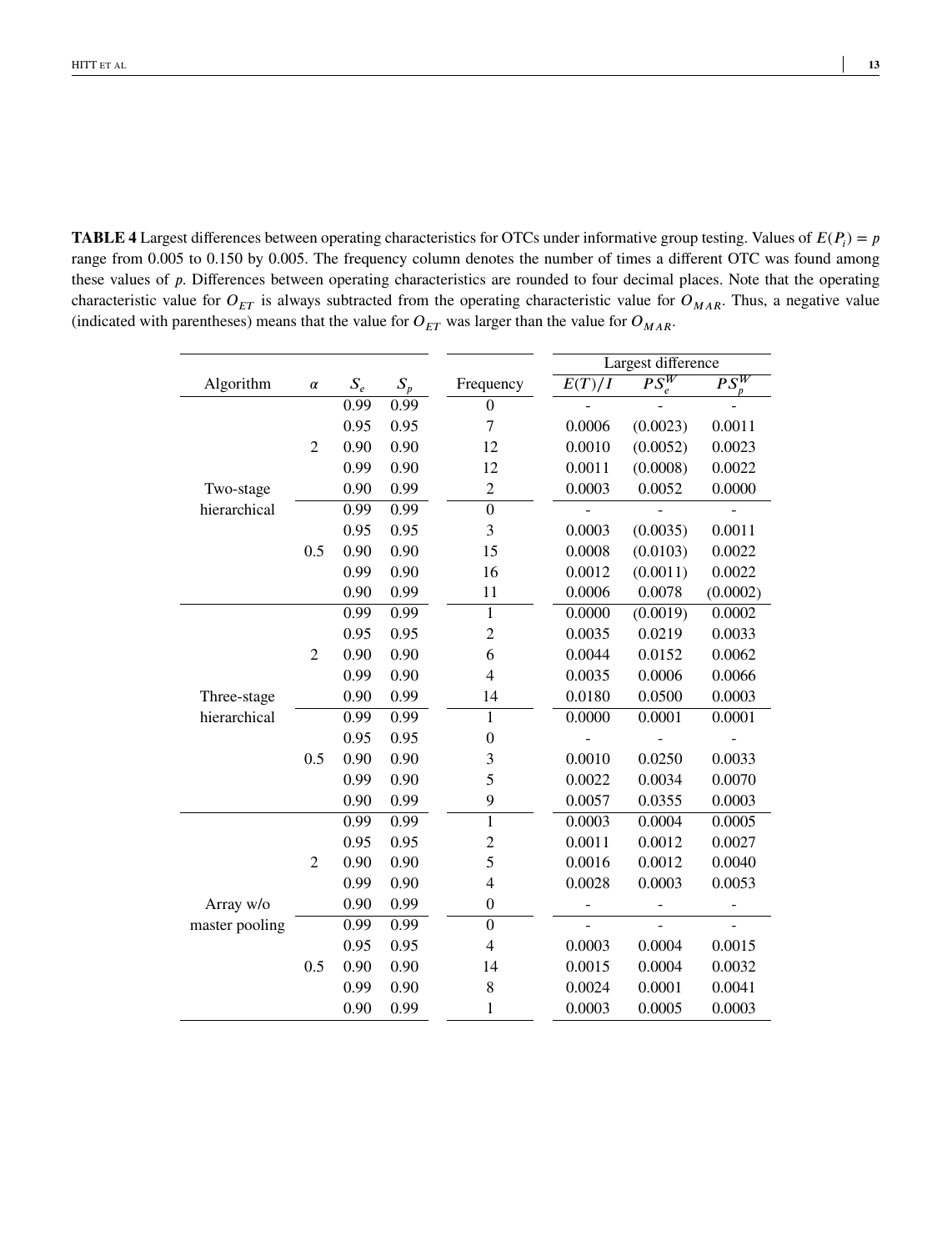<span id="page-12-0"></span>**TABLE 4** Largest differences between operating characteristics for OTCs under informative group testing. Values of  $E(P_i) = p$ range from 0.005 to 0.150 by 0.005. The frequency column denotes the number of times a different OTC was found among these values of *p*. Differences between operating characteristics are rounded to four decimal places. Note that the operating characteristic value for  $O_{ET}$  is always subtracted from the operating characteristic value for  $O_{MAR}$ . Thus, a negative value (indicated with parentheses) means that the value for  $O_{ET}$  was larger than the value for  $O_{MAR}$ .

|                |                |       |       |                  |        | Largest difference |          |
|----------------|----------------|-------|-------|------------------|--------|--------------------|----------|
| Algorithm      | $\alpha$       | $S_e$ | $S_p$ | Frequency        | E(T)/I | $PS_{e}^W$         | $PS^W$   |
|                |                | 0.99  | 0.99  | $\overline{0}$   |        |                    |          |
|                |                | 0.95  | 0.95  | 7                | 0.0006 | (0.0023)           | 0.0011   |
|                | $\overline{2}$ | 0.90  | 0.90  | 12               | 0.0010 | (0.0052)           | 0.0023   |
|                |                | 0.99  | 0.90  | 12               | 0.0011 | (0.0008)           | 0.0022   |
| Two-stage      |                | 0.90  | 0.99  | $\overline{2}$   | 0.0003 | 0.0052             | 0.0000   |
| hierarchical   |                | 0.99  | 0.99  | $\overline{0}$   |        |                    |          |
|                |                | 0.95  | 0.95  | 3                | 0.0003 | (0.0035)           | 0.0011   |
|                | 0.5            | 0.90  | 0.90  | 15               | 0.0008 | (0.0103)           | 0.0022   |
|                |                | 0.99  | 0.90  | 16               | 0.0012 | (0.0011)           | 0.0022   |
|                |                | 0.90  | 0.99  | 11               | 0.0006 | 0.0078             | (0.0002) |
|                |                | 0.99  | 0.99  | $\mathbf{1}$     | 0.0000 | (0.0019)           | 0.0002   |
|                |                | 0.95  | 0.95  | $\overline{2}$   | 0.0035 | 0.0219             | 0.0033   |
|                | $\overline{2}$ | 0.90  | 0.90  | 6                | 0.0044 | 0.0152             | 0.0062   |
|                |                | 0.99  | 0.90  | $\overline{4}$   | 0.0035 | 0.0006             | 0.0066   |
| Three-stage    |                | 0.90  | 0.99  | 14               | 0.0180 | 0.0500             | 0.0003   |
| hierarchical   |                | 0.99  | 0.99  | $\mathbf{1}$     | 0.0000 | 0.0001             | 0.0001   |
|                |                | 0.95  | 0.95  | $\boldsymbol{0}$ |        |                    |          |
|                | 0.5            | 0.90  | 0.90  | 3                | 0.0010 | 0.0250             | 0.0033   |
|                |                | 0.99  | 0.90  | 5                | 0.0022 | 0.0034             | 0.0070   |
|                |                | 0.90  | 0.99  | 9                | 0.0057 | 0.0355             | 0.0003   |
|                |                | 0.99  | 0.99  | $\overline{1}$   | 0.0003 | 0.0004             | 0.0005   |
|                |                | 0.95  | 0.95  | $\overline{c}$   | 0.0011 | 0.0012             | 0.0027   |
|                | $\overline{2}$ | 0.90  | 0.90  | 5                | 0.0016 | 0.0012             | 0.0040   |
|                |                | 0.99  | 0.90  | $\overline{4}$   | 0.0028 | 0.0003             | 0.0053   |
| Array w/o      |                | 0.90  | 0.99  | $\boldsymbol{0}$ |        |                    |          |
| master pooling |                | 0.99  | 0.99  | $\overline{0}$   |        |                    |          |
|                |                | 0.95  | 0.95  | $\overline{4}$   | 0.0003 | 0.0004             | 0.0015   |
|                | 0.5            | 0.90  | 0.90  | 14               | 0.0015 | 0.0004             | 0.0032   |
|                |                | 0.99  | 0.90  | 8                | 0.0024 | 0.0001             | 0.0041   |
|                |                | 0.90  | 0.99  | 1                | 0.0003 | 0.0005             | 0.0003   |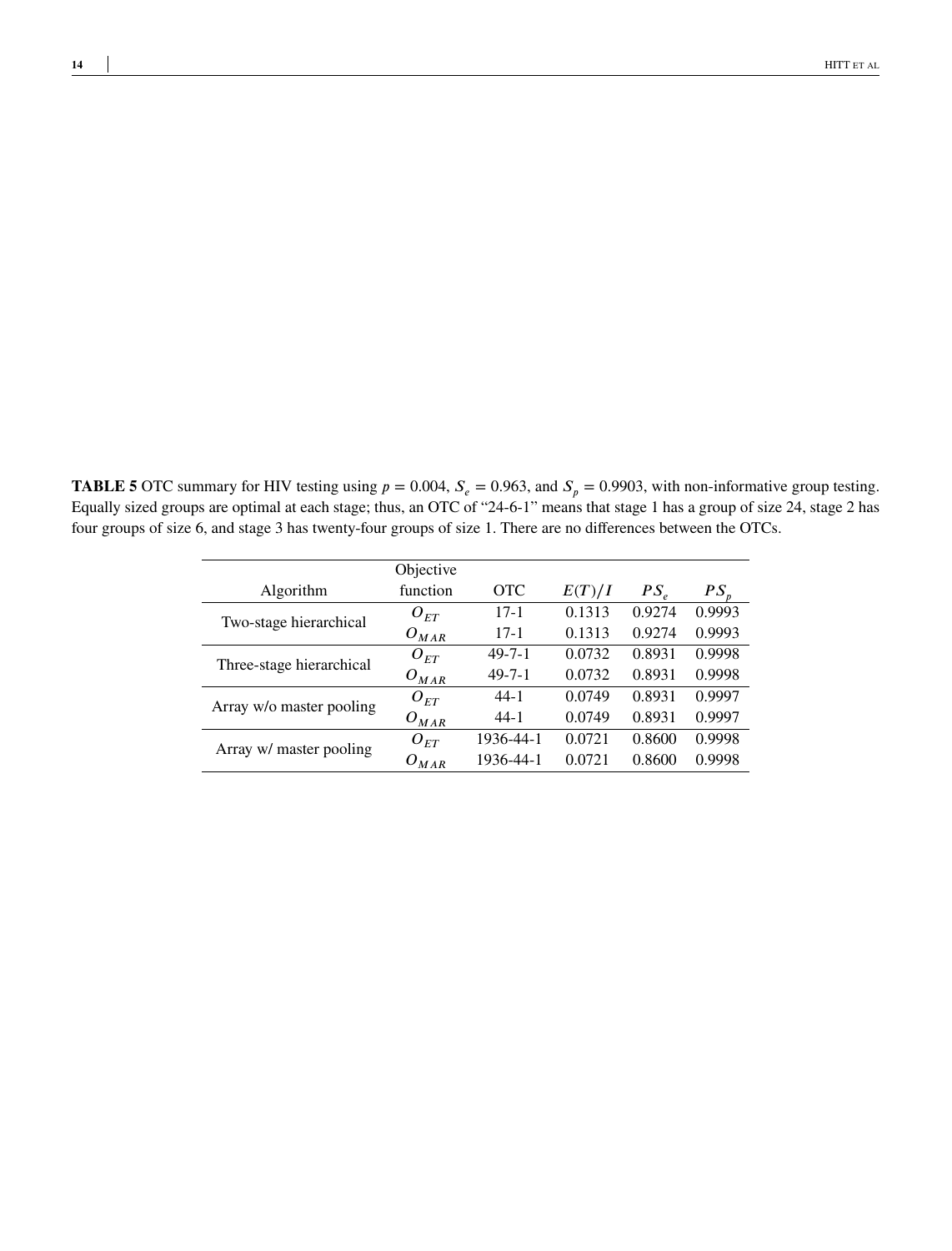<span id="page-13-0"></span>**TABLE 5** OTC summary for HIV testing using  $p = 0.004$ ,  $S_e = 0.963$ , and  $S_p = 0.9903$ , with non-informative group testing. Equally sized groups are optimal at each stage; thus, an OTC of "24-6-1" means that stage 1 has a group of size 24, stage 2 has four groups of size 6, and stage 3 has twenty-four groups of size 1. There are no differences between the OTCs.

|                          | Objective |              |        |                 |        |
|--------------------------|-----------|--------------|--------|-----------------|--------|
| Algorithm                | function  | OTC          | E(T)/I | PS <sub>e</sub> | $PS_r$ |
| Two-stage hierarchical   | $O_{FT}$  | $17-1$       | 0.1313 | 0.9274          | 0.9993 |
|                          | $O_{MAR}$ | $17-1$       | 0.1313 | 0.9274          | 0.9993 |
|                          | $O_{ET}$  | $49 - 7 - 1$ | 0.0732 | 0.8931          | 0.9998 |
| Three-stage hierarchical | $O_{MAR}$ | $49 - 7 - 1$ | 0.0732 | 0.8931          | 0.9998 |
| Array w/o master pooling | $O_{FT}$  | $44-1$       | 0.0749 | 0.8931          | 0.9997 |
|                          | $O_{MAR}$ | $44-1$       | 0.0749 | 0.8931          | 0.9997 |
|                          | $O_{ET}$  | 1936-44-1    | 0.0721 | 0.8600          | 0.9998 |
| Array w/ master pooling  | $O_{MAR}$ | 1936-44-1    | 0.0721 | 0.8600          | 0.9998 |